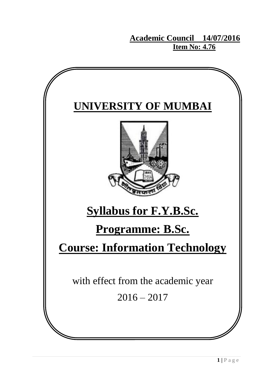**Academic Council 14/07/2016 Item No: 4.76** 

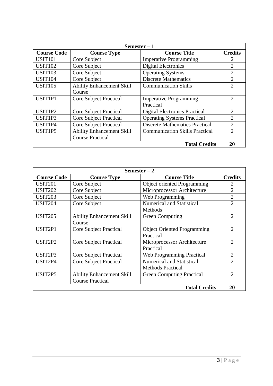| Semester $-1$       |                                  |                                       |                |
|---------------------|----------------------------------|---------------------------------------|----------------|
| <b>Course Code</b>  | <b>Course Type</b>               | <b>Course Title</b>                   | <b>Credits</b> |
| <b>USIT101</b>      | Core Subject                     | <b>Imperative Programming</b>         |                |
| <b>USIT102</b>      | Core Subject                     | <b>Digital Electronics</b>            | $\overline{2}$ |
| <b>USIT103</b>      | Core Subject                     | <b>Operating Systems</b>              | $\overline{2}$ |
| <b>USIT104</b>      | Core Subject                     | <b>Discrete Mathematics</b>           | $\overline{2}$ |
| <b>USIT105</b>      | <b>Ability Enhancement Skill</b> | <b>Communication Skills</b>           | $\overline{2}$ |
|                     | Course                           |                                       |                |
| USIT <sub>1P1</sub> | <b>Core Subject Practical</b>    | <b>Imperative Programming</b>         | $\overline{2}$ |
|                     |                                  | Practical                             |                |
| USIT1P2             | <b>Core Subject Practical</b>    | <b>Digital Electronics Practical</b>  | 2              |
| USIT1P3             | <b>Core Subject Practical</b>    | <b>Operating Systems Practical</b>    | $\overline{2}$ |
| USIT1P4             | <b>Core Subject Practical</b>    | <b>Discrete Mathematics Practical</b> | $\overline{2}$ |
| USIT1P5             | <b>Ability Enhancement Skill</b> | <b>Communication Skills Practical</b> | $\overline{2}$ |
|                     | <b>Course Practical</b>          |                                       |                |
|                     |                                  | <b>Total Credits</b>                  | 20             |

| Semester $-2$      |                                  |                                    |                             |  |
|--------------------|----------------------------------|------------------------------------|-----------------------------|--|
| <b>Course Code</b> | <b>Course Type</b>               | <b>Course Title</b>                | <b>Credits</b>              |  |
| <b>USIT201</b>     | Core Subject                     | Object oriented Programming        | 2                           |  |
| <b>USIT202</b>     | Core Subject                     | Microprocessor Architecture        | $\overline{2}$              |  |
| <b>USIT203</b>     | Core Subject                     | Web Programming                    | $\overline{2}$              |  |
| <b>USIT204</b>     | Core Subject                     | <b>Numerical and Statistical</b>   | $\overline{2}$              |  |
|                    |                                  | Methods                            |                             |  |
| <b>USIT205</b>     | <b>Ability Enhancement Skill</b> | <b>Green Computing</b>             | $\overline{2}$              |  |
|                    | Course                           |                                    |                             |  |
| USIT2P1            | <b>Core Subject Practical</b>    | <b>Object Oriented Programming</b> | $\overline{2}$              |  |
|                    |                                  | Practical                          |                             |  |
| USIT2P2            | Core Subject Practical           | Microprocessor Architecture        | $\overline{2}$              |  |
|                    |                                  | Practical                          |                             |  |
| USIT2P3            | <b>Core Subject Practical</b>    | <b>Web Programming Practical</b>   | $\overline{2}$              |  |
| USIT2P4            | <b>Core Subject Practical</b>    | Numerical and Statistical          | $\mathcal{D}_{\mathcal{A}}$ |  |
|                    |                                  | <b>Methods Practical</b>           |                             |  |
| USIT2P5            | <b>Ability Enhancement Skill</b> | <b>Green Computing Practical</b>   | $\overline{2}$              |  |
|                    | <b>Course Practical</b>          |                                    |                             |  |
|                    | <b>Total Credits</b><br>20       |                                    |                             |  |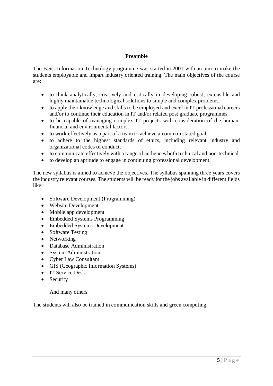# **Preamble**

The B.Sc. Information Technology programme was started in 2001 with an aim to make the students employable and impart industry oriented training. The main objectives of the course are:

- to think analytically, creatively and critically in developing robust, extensible and highly maintainable technological solutions to simple and complex problems.
- to apply their knowledge and skills to be employed and excel in IT professional careers and/or to continue their education in IT and/or related post graduate programmes.
- to be capable of managing complex IT projects with consideration of the human, financial and environmental factors.
- to work effectively as a part of a team to achieve a common stated goal.
- to adhere to the highest standards of ethics, including relevant industry and organizational codes of conduct.
- to communicate effectively with a range of audiences both technical and non-technical.
- to develop an aptitude to engage in continuing professional development.

The new syllabus is aimed to achieve the objectives. The syllabus spanning three years covers the industry relevant courses. The students will be ready for the jobs available in different fields like:

- Software Development (Programming)
- Website Development
- Mobile app development
- Embedded Systems Programming
- Embedded Systems Development
- Software Testing
- Networking
- Database Administration
- System Administration
- Cyber Law Consultant
- GIS (Geographic Information Systems)
- IT Service Desk
- Security

### And many others

The students will also be trained in communication skills and green computing.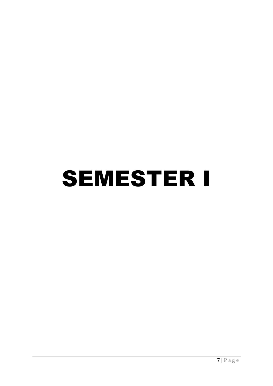# SEMESTER I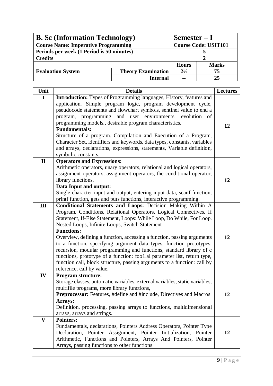| <b>B.</b> Sc (Information Technology)      |                           | $Semester-I$                |              |
|--------------------------------------------|---------------------------|-----------------------------|--------------|
| <b>Course Name: Imperative Programming</b> |                           | <b>Course Code: USIT101</b> |              |
| Periods per week (1 Period is 50 minutes)  |                           |                             |              |
| <b>Credits</b>                             |                           |                             |              |
|                                            |                           | <b>Hours</b>                | <b>Marks</b> |
| <b>Evaluation System</b>                   | <b>Theory Examination</b> | $2^{1/2}$                   | 75           |
|                                            | <b>Internal</b>           | $\sim$ $\sim$               | 25           |

| Unit         | <b>Details</b>                                                                                                                                    | <b>Lectures</b> |
|--------------|---------------------------------------------------------------------------------------------------------------------------------------------------|-----------------|
| $\mathbf I$  | Introduction: Types of Programming languages, History, features and                                                                               |                 |
|              | application. Simple program logic, program development cycle,                                                                                     |                 |
|              | pseudocode statements and flowchart symbols, sentinel value to end a                                                                              |                 |
|              | program, programming and user environments, evolution<br>- of                                                                                     |                 |
|              | programming models., desirable program characteristics.                                                                                           | 12              |
|              | <b>Fundamentals:</b>                                                                                                                              |                 |
|              | Structure of a program. Compilation and Execution of a Program,                                                                                   |                 |
|              | Character Set, identifiers and keywords, data types, constants, variables                                                                         |                 |
|              | and arrays, declarations, expressions, statements, Variable definition,                                                                           |                 |
|              | symbolic constants.                                                                                                                               |                 |
| $\mathbf{I}$ | <b>Operators and Expressions:</b>                                                                                                                 |                 |
|              | Arithmetic operators, unary operators, relational and logical operators,<br>assignment operators, assignment operators, the conditional operator, |                 |
|              | library functions.                                                                                                                                | 12              |
|              | Data Input and output:                                                                                                                            |                 |
|              | Single character input and output, entering input data, scanf function,                                                                           |                 |
|              | printf function, gets and puts functions, interactive programming.                                                                                |                 |
| III          | Conditional Statements and Loops: Decision Making Within A                                                                                        |                 |
|              | Program, Conditions, Relational Operators, Logical Connectives, If                                                                                |                 |
|              | Statement, If-Else Statement, Loops: While Loop, Do While, For Loop.                                                                              |                 |
|              | Nested Loops, Infinite Loops, Switch Statement                                                                                                    |                 |
|              | <b>Functions:</b>                                                                                                                                 |                 |
|              | Overview, defining a function, accessing a function, passing arguments                                                                            | 12              |
|              | to a function, specifying argument data types, function prototypes,                                                                               |                 |
|              | recursion, modular programming and functions, standard library of c                                                                               |                 |
|              | functions, prototype of a function: foo1lal parameter list, return type,                                                                          |                 |
|              | function call, block structure, passing arguments to a function: call by                                                                          |                 |
|              | reference, call by value.                                                                                                                         |                 |
| IV           | <b>Program structure:</b>                                                                                                                         |                 |
|              | Storage classes, automatic variables, external variables, static variables,                                                                       |                 |
|              | multifile programs, more library functions,                                                                                                       |                 |
|              | Preprocessor: Features, #define and #include, Directives and Macros                                                                               | 12              |
|              | Arrays:                                                                                                                                           |                 |
|              | Definition, processing, passing arrays to functions, multidimensional                                                                             |                 |
| $\mathbf{V}$ | arrays, arrays and strings.                                                                                                                       |                 |
|              | <b>Pointers:</b><br>Fundamentals, declarations, Pointers Address Operators, Pointer Type                                                          |                 |
|              | Pointer Assignment, Pointer Initialization,<br>Declaration,<br>Pointer                                                                            | 12              |
|              | Arithmetic, Functions and Pointers, Arrays And Pointers, Pointer                                                                                  |                 |
|              | Arrays, passing functions to other functions                                                                                                      |                 |
|              |                                                                                                                                                   |                 |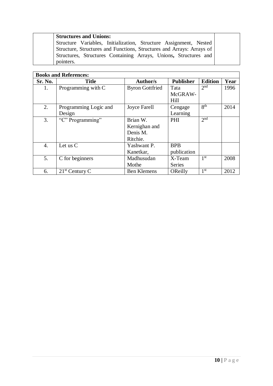| <b>Structures and Unions:</b>                                         |  |
|-----------------------------------------------------------------------|--|
| Structure Variables, Initialization, Structure Assignment, Nested     |  |
| Structure, Structures and Functions, Structures and Arrays: Arrays of |  |
| Structures, Structures Containing Arrays, Unions, Structures and      |  |
| pointers.                                                             |  |

|         | <b>Books and References:</b> |                        |                  |                 |      |
|---------|------------------------------|------------------------|------------------|-----------------|------|
| Sr. No. | <b>Title</b>                 | <b>Author/s</b>        | <b>Publisher</b> | <b>Edition</b>  | Year |
| 1.      | Programming with C           | <b>Byron Gottfried</b> | Tata             | 2 <sup>nd</sup> | 1996 |
|         |                              |                        | McGRAW-          |                 |      |
|         |                              |                        | Hill             |                 |      |
| 2.      | Programming Logic and        | Joyce Farell           | Cengage          | 8 <sup>th</sup> | 2014 |
|         | Design                       |                        | Learning         |                 |      |
| 3.      | "C" Programming"             | Brian W.               | PHI              | 2 <sup>nd</sup> |      |
|         |                              | Kernighan and          |                  |                 |      |
|         |                              | Denis M.               |                  |                 |      |
|         |                              | Ritchie.               |                  |                 |      |
| 4.      | Let us $C$                   | Yashwant P.            | <b>BPB</b>       |                 |      |
|         |                              | Kanetkar,              | publication      |                 |      |
| 5.      | C for beginners              | Madhusudan             | X-Team           | 1 <sup>st</sup> | 2008 |
|         |                              | Mothe                  | <b>Series</b>    |                 |      |
| 6.      | $21st$ Century C             | <b>Ben Klemens</b>     | OReilly          | 1 st            | 2012 |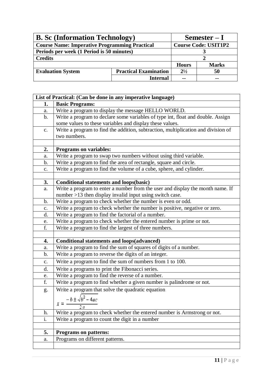| <b>B.</b> Sc (Information Technology)                |                              | $Semester-I$                |              |
|------------------------------------------------------|------------------------------|-----------------------------|--------------|
| <b>Course Name: Imperative Programming Practical</b> |                              | <b>Course Code: USIT1P2</b> |              |
| Periods per week (1 Period is 50 minutes)            |                              |                             |              |
| <b>Credits</b>                                       |                              |                             |              |
|                                                      |                              | <b>Hours</b>                | <b>Marks</b> |
| <b>Evaluation System</b>                             | <b>Practical Examination</b> | $2^{1/2}$                   | 50           |
|                                                      | Internal                     | --                          | --           |

|                | List of Practical: (Can be done in any imperative language)                       |
|----------------|-----------------------------------------------------------------------------------|
| 1.             | <b>Basic Programs:</b>                                                            |
| a.             | Write a program to display the message HELLO WORLD.                               |
| $\mathbf b$ .  | Write a program to declare some variables of type int, float and double. Assign   |
|                | some values to these variables and display these values.                          |
| $C_{\bullet}$  | Write a program to find the addition, subtraction, multiplication and division of |
|                | two numbers.                                                                      |
|                |                                                                                   |
| 2.             | <b>Programs on variables:</b>                                                     |
| a.             | Write a program to swap two numbers without using third variable.                 |
| b.             | Write a program to find the area of rectangle, square and circle.                 |
| c.             | Write a program to find the volume of a cube, sphere, and cylinder.               |
|                |                                                                                   |
| 3.             | <b>Conditional statements and loops(basic)</b>                                    |
| a.             | Write a program to enter a number from the user and display the month name. If    |
|                | number >13 then display invalid input using switch case.                          |
| b.             | Write a program to check whether the number is even or odd.                       |
| $\mathbf{c}$ . | Write a program to check whether the number is positive, negative or zero.        |
| d.             | Write a program to find the factorial of a number.                                |
| e.             | Write a program to check whether the entered number is prime or not.              |
| f.             | Write a program to find the largest of three numbers.                             |
|                |                                                                                   |
| 4.             | <b>Conditional statements and loops(advanced)</b>                                 |
| a.             | Write a program to find the sum of squares of digits of a number.                 |
| b.             | Write a program to reverse the digits of an integer.                              |
| $\mathbf{c}$ . | Write a program to find the sum of numbers from 1 to 100.                         |
| d.             | Write a programs to print the Fibonacci series.                                   |
| e.             | Write a program to find the reverse of a number.                                  |
| f.             | Write a program to find whether a given number is palindrome or not.              |
| g.             | Write a program that solve the quadratic equation                                 |
|                | $-b \pm \sqrt{b^2-4ac}$                                                           |
|                | $x = -$<br>$\overline{2a}$                                                        |
| h.             | Write a program to check whether the entered number is Armstrong or not.          |
| i.             | Write a program to count the digit in a number                                    |
|                |                                                                                   |
| 5.             | <b>Programs on patterns:</b>                                                      |
| a.             | Programs on different patterns.                                                   |
|                |                                                                                   |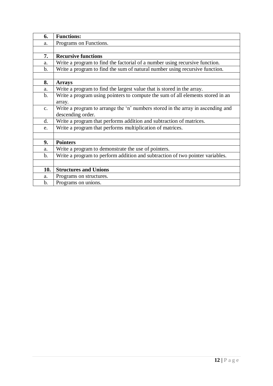| 6.            | <b>Functions:</b>                                                               |
|---------------|---------------------------------------------------------------------------------|
| a.            | Programs on Functions.                                                          |
|               |                                                                                 |
| 7.            | <b>Recursive functions</b>                                                      |
| a.            | Write a program to find the factorial of a number using recursive function.     |
| $\mathbf b$ . | Write a program to find the sum of natural number using recursive function.     |
|               |                                                                                 |
| 8.            | <b>Arrays</b>                                                                   |
| a.            | Write a program to find the largest value that is stored in the array.          |
| $\mathbf b$ . | Write a program using pointers to compute the sum of all elements stored in an  |
|               | array.                                                                          |
| $C_{\bullet}$ | Write a program to arrange the 'n' numbers stored in the array in ascending and |
|               | descending order.                                                               |
| d.            | Write a program that performs addition and subtraction of matrices.             |
| e.            | Write a program that performs multiplication of matrices.                       |
|               |                                                                                 |
| 9.            | <b>Pointers</b>                                                                 |
| a.            | Write a program to demonstrate the use of pointers.                             |
| $\mathbf b$ . | Write a program to perform addition and subtraction of two pointer variables.   |
|               |                                                                                 |
| 10.           | <b>Structures and Unions</b>                                                    |
| a.            | Programs on structures.                                                         |
| $\mathbf b$ . | Programs on unions.                                                             |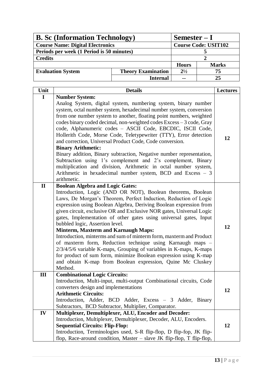| <b>B.</b> Sc (Information Technology)     |                           | $Semester-I$                |              |
|-------------------------------------------|---------------------------|-----------------------------|--------------|
| <b>Course Name: Digital Electronics</b>   |                           | <b>Course Code: USIT102</b> |              |
| Periods per week (1 Period is 50 minutes) |                           |                             |              |
| <b>Credits</b>                            |                           |                             |              |
|                                           |                           | <b>Hours</b>                | <b>Marks</b> |
| <b>Evaluation System</b>                  | <b>Theory Examination</b> | $2^{1/2}$                   | 75           |
|                                           | <b>Internal</b>           | $\sim$ $\sim$               | 25           |

| Unit         | <b>Details</b>                                                                                                                                                                                                                                                                                                                                                                                                                                                                                                                                                                                                                                                                                                                                                                                          | <b>Lectures</b> |
|--------------|---------------------------------------------------------------------------------------------------------------------------------------------------------------------------------------------------------------------------------------------------------------------------------------------------------------------------------------------------------------------------------------------------------------------------------------------------------------------------------------------------------------------------------------------------------------------------------------------------------------------------------------------------------------------------------------------------------------------------------------------------------------------------------------------------------|-----------------|
| I            | <b>Number System:</b>                                                                                                                                                                                                                                                                                                                                                                                                                                                                                                                                                                                                                                                                                                                                                                                   |                 |
|              | Analog System, digital system, numbering system, binary number<br>system, octal number system, hexadecimal number system, conversion<br>from one number system to another, floating point numbers, weighted<br>codes binary coded decimal, non-weighted codes Excess - 3 code, Gray<br>code, Alphanumeric codes - ASCII Code, EBCDIC, ISCII Code,<br>Hollerith Code, Morse Code, Teletypewriter (TTY), Error detection<br>and correction, Universal Product Code, Code conversion.<br><b>Binary Arithmetic:</b><br>Binary addition, Binary subtraction, Negative number representation,<br>Subtraction using 1's complement and 2's complement, Binary<br>multiplication and division, Arithmetic in octal number system,<br>Arithmetic in hexadecimal number system, BCD and Excess - 3<br>arithmetic. | 12              |
| $\mathbf{I}$ | <b>Boolean Algebra and Logic Gates:</b>                                                                                                                                                                                                                                                                                                                                                                                                                                                                                                                                                                                                                                                                                                                                                                 |                 |
|              | Introduction, Logic (AND OR NOT), Boolean theorems, Boolean<br>Laws, De Morgan's Theorem, Perfect Induction, Reduction of Logic<br>expression using Boolean Algebra, Deriving Boolean expression from<br>given circuit, exclusive OR and Exclusive NOR gates, Universal Logic<br>gates, Implementation of other gates using universal gates, Input<br>bubbled logic, Assertion level.<br><b>Minterm, Maxterm and Karnaugh Maps:</b><br>Introduction, minterms and sum of minterm form, maxterm and Product<br>of maxterm form, Reduction technique using Karnaugh maps -<br>2/3/4/5/6 variable K-maps, Grouping of variables in K-maps, K-maps<br>for product of sum form, minimize Boolean expression using K-map<br>and obtain K-map from Boolean expression, Quine Mc Cluskey<br>Method.             | 12              |
| III          | <b>Combinational Logic Circuits:</b><br>Introduction, Multi-input, multi-output Combinational circuits, Code<br>converters design and implementations<br><b>Arithmetic Circuits:</b><br>Introduction, Adder, BCD Adder, Excess - 3 Adder, Binary<br>Subtractors, BCD Subtractor, Multiplier, Comparator.                                                                                                                                                                                                                                                                                                                                                                                                                                                                                                | 12              |
| IV           | Multiplexer, Demultiplexer, ALU, Encoder and Decoder:<br>Introduction, Multiplexer, Demultiplexer, Decoder, ALU, Encoders.<br><b>Sequential Circuits: Flip-Flop:</b><br>Introduction, Terminologies used, S-R flip-flop, D flip-fop, JK flip-<br>flop, Race-around condition, Master $-$ slave JK flip-flop, T flip-flop,                                                                                                                                                                                                                                                                                                                                                                                                                                                                               | 12              |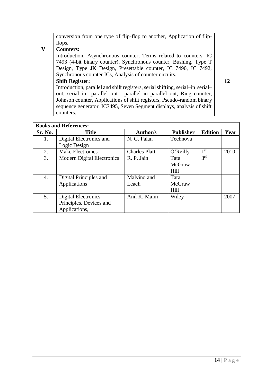|   | conversion from one type of flip-flop to another, Application of flip-         |    |
|---|--------------------------------------------------------------------------------|----|
|   | flops.                                                                         |    |
| V | <b>Counters:</b>                                                               |    |
|   | Introduction, Asynchronous counter, Terms related to counters, IC              |    |
|   | 7493 (4-bit binary counter), Synchronous counter, Bushing, Type T              |    |
|   | Design, Type JK Design, Presettable counter, IC 7490, IC 7492,                 |    |
|   | Synchronous counter ICs, Analysis of counter circuits.                         |    |
|   | <b>Shift Register:</b>                                                         | 12 |
|   | Introduction, parallel and shift registers, serial shifting, serial-in serial- |    |
|   | out, serial-in parallel-out, parallel-in parallel-out, Ring counter,           |    |
|   | Johnson counter, Applications of shift registers, Pseudo-random binary         |    |
|   | sequence generator, IC7495, Seven Segment displays, analysis of shift          |    |
|   | counters.                                                                      |    |

| <b>Books and References:</b> |                                   |                      |                  |                 |      |
|------------------------------|-----------------------------------|----------------------|------------------|-----------------|------|
| Sr. No.                      | <b>Title</b>                      | Author/s             | <b>Publisher</b> | <b>Edition</b>  | Year |
| 1.                           | Digital Electronics and           | N. G. Palan          | Technova         |                 |      |
|                              | Logic Design                      |                      |                  |                 |      |
| 2.                           | <b>Make Electronics</b>           | <b>Charles Platt</b> | O'Reilly         | 1 <sup>st</sup> | 2010 |
| 3.                           | <b>Modern Digital Electronics</b> | R. P. Jain           | Tata             | 3 <sup>rd</sup> |      |
|                              |                                   |                      | McGraw           |                 |      |
|                              |                                   |                      | Hill             |                 |      |
| 4.                           | Digital Principles and            | Malvino and          | Tata             |                 |      |
|                              | Applications                      | Leach                | McGraw           |                 |      |
|                              |                                   |                      | Hill             |                 |      |
| 5.                           | <b>Digital Electronics:</b>       | Anil K. Maini        | Wiley            |                 | 2007 |
|                              | Principles, Devices and           |                      |                  |                 |      |
|                              | Applications,                     |                      |                  |                 |      |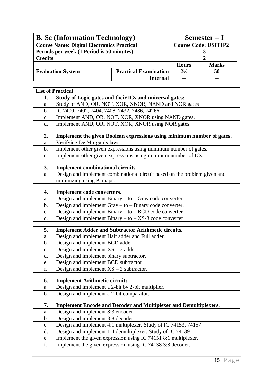| <b>B.</b> Sc (Information Technology)             |                              | Semester $-I$               |              |
|---------------------------------------------------|------------------------------|-----------------------------|--------------|
| <b>Course Name: Digital Electronics Practical</b> |                              | <b>Course Code: USIT1P2</b> |              |
| Periods per week (1 Period is 50 minutes)         |                              |                             |              |
| <b>Credits</b>                                    |                              |                             |              |
|                                                   |                              | <b>Hours</b>                | <b>Marks</b> |
| <b>Evaluation System</b>                          | <b>Practical Examination</b> | $2^{1/2}$                   | 50           |
|                                                   | <b>Internal</b>              |                             |              |

|                | <b>List of Practical</b>                                                                                      |
|----------------|---------------------------------------------------------------------------------------------------------------|
| 1.             | Study of Logic gates and their ICs and universal gates:                                                       |
| a.             | Study of AND, OR, NOT, XOR, XNOR, NAND and NOR gates                                                          |
| $\mathbf b$ .  | IC 7400, 7402, 7404, 7408, 7432, 7486, 74266                                                                  |
| $\mathbf{c}$ . | Implement AND, OR, NOT, XOR, XNOR using NAND gates.                                                           |
| d.             | Implement AND, OR, NOT, XOR, XNOR using NOR gates.                                                            |
| 2.             | Implement the given Boolean expressions using minimum number of gates.                                        |
| a.             | Verifying De Morgan's laws.                                                                                   |
| $\mathbf{b}$ . | Implement other given expressions using minimum number of gates.                                              |
| $\mathbf{c}$ . | Implement other given expressions using minimum number of ICs.                                                |
|                |                                                                                                               |
| 3.             | Implement combinational circuits.                                                                             |
| a.             | Design and implement combinational circuit based on the problem given and                                     |
|                | minimizing using K-maps.                                                                                      |
|                |                                                                                                               |
| 4.             | Implement code converters.                                                                                    |
| a.             | Design and implement Binary - to - Gray code converter.                                                       |
| b.             | Design and implement $Gray - to - Binary code converter$ .                                                    |
| $\mathbf{c}$ . | Design and implement Binary - to - BCD code converter                                                         |
| d.             | Design and implement Binary $-$ to $-$ XS-3 code converter                                                    |
| 5.             |                                                                                                               |
|                | <b>Implement Adder and Subtractor Arithmetic circuits.</b><br>Design and implement Half adder and Full adder. |
| a.             | Design and implement BCD adder.                                                                               |
| b.             | Design and implement $XS - 3$ adder.                                                                          |
| c.             | Design and implement binary subtractor.                                                                       |
| d.             |                                                                                                               |
| e.<br>f.       | Design and implement BCD subtractor.<br>Design and implement $XS - 3$ subtractor.                             |
|                |                                                                                                               |
| 6.             | <b>Implement Arithmetic circuits.</b>                                                                         |
| a.             | Design and implement a 2-bit by 2-bit multiplier.                                                             |
| b.             | Design and implement a 2-bit comparator.                                                                      |
|                |                                                                                                               |
| 7.             | Implement Encode and Decoder and Multiplexer and Demultiplexers.                                              |
| a.             | Design and implement 8:3 encoder.                                                                             |
| b.             | Design and implement 3:8 decoder.                                                                             |
| $\mathbf{c}$ . | Design and implement 4:1 multiplexer. Study of IC 74153, 74157                                                |
| d.             | Design and implement 1:4 demultiplexer. Study of IC 74139                                                     |
| e.             | Implement the given expression using IC 74151 8:1 multiplexer.                                                |
| f.             | Implement the given expression using IC 74138 3:8 decoder.                                                    |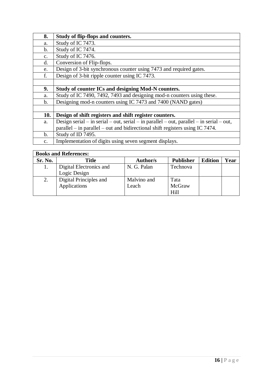| 8.             | Study of flip-flops and counters.                                                        |
|----------------|------------------------------------------------------------------------------------------|
| a.             | Study of IC 7473.                                                                        |
| $\mathbf b$ .  | Study of IC 7474.                                                                        |
| $C_{\bullet}$  | Study of IC 7476.                                                                        |
| d.             | Conversion of Flip-flops.                                                                |
| e.             | Design of 3-bit synchronous counter using 7473 and required gates.                       |
| f.             | Design of 3-bit ripple counter using IC 7473.                                            |
|                |                                                                                          |
| 9.             | Study of counter ICs and designing Mod-N counters.                                       |
| a.             | Study of IC 7490, 7492, 7493 and designing mod-n counters using these.                   |
| $\mathbf b$ .  | Designing mod-n counters using IC 7473 and 7400 (NAND gates)                             |
|                |                                                                                          |
| 10.            | Design of shift registers and shift register counters.                                   |
| a.             | Design serial – in serial – out, serial – in parallel – out, parallel – in serial – out, |
|                | parallel – in parallel – out and bidirectional shift registers using IC 7474.            |
| $\mathbf b$ .  | Study of ID 7495.                                                                        |
| $\mathbf{C}$ . | Implementation of digits using seven segment displays.                                   |

| <b>Books and References:</b> |                         |                 |                  |                |      |
|------------------------------|-------------------------|-----------------|------------------|----------------|------|
| Sr. No.                      | <b>Title</b>            | <b>Author/s</b> | <b>Publisher</b> | <b>Edition</b> | Year |
| 1.                           | Digital Electronics and | N. G. Palan     | Technova         |                |      |
|                              | Logic Design            |                 |                  |                |      |
| 2.                           | Digital Principles and  | Malvino and     | Tata             |                |      |
|                              | Applications            | Leach           | McGraw           |                |      |
|                              |                         |                 | Hill             |                |      |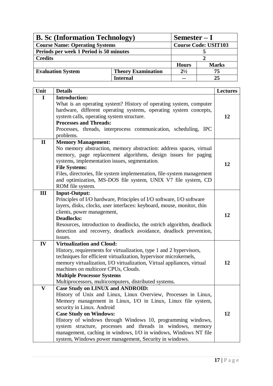| <b>B.</b> Sc (Information Technology)   |                           | $Semester-I$ |                             |  |
|-----------------------------------------|---------------------------|--------------|-----------------------------|--|
| <b>Course Name: Operating Systems</b>   |                           |              | <b>Course Code: USIT103</b> |  |
| Periods per week 1 Period is 50 minutes |                           |              |                             |  |
| <b>Credits</b>                          |                           |              |                             |  |
|                                         |                           | <b>Hours</b> | <b>Marks</b>                |  |
| <b>Evaluation System</b>                | <b>Theory Examination</b> | $2^{1/2}$    | 75                          |  |
|                                         | <b>Internal</b>           | --           | 25                          |  |

| Unit         | <b>Details</b>                                                         | <b>Lectures</b> |
|--------------|------------------------------------------------------------------------|-----------------|
| I            | <b>Introduction:</b>                                                   |                 |
|              | What is an operating system? History of operating system, computer     |                 |
|              | hardware, different operating systems, operating system concepts,      |                 |
|              | system calls, operating system structure.                              | 12              |
|              | <b>Processes and Threads:</b>                                          |                 |
|              | Processes, threads, interprocess communication, scheduling, IPC        |                 |
|              | problems.                                                              |                 |
| $\mathbf{I}$ | <b>Memory Management:</b>                                              |                 |
|              | No memory abstraction, memory abstraction: address spaces, virtual     |                 |
|              | memory, page replacement algorithms, design issues for paging          |                 |
|              | systems, implementation issues, segmentation.                          | 12              |
|              | <b>File Systems:</b>                                                   |                 |
|              | Files, directories, file system implementation, file-system management |                 |
|              | and optimization, MS-DOS file system, UNIX V7 file system, CD          |                 |
|              | ROM file system.                                                       |                 |
| III          | <b>Input-Output:</b>                                                   |                 |
|              | Principles of I/O hardware, Principles of I/O software, I/O software   |                 |
|              | layers, disks, clocks, user interfaces: keyboard, mouse, monitor, thin |                 |
|              | clients, power management,                                             | 12              |
|              | <b>Deadlocks:</b>                                                      |                 |
|              | Resources, introduction to deadlocks, the ostrich algorithm, deadlock  |                 |
|              | detection and recovery, deadlock avoidance, deadlock prevention,       |                 |
|              | issues.                                                                |                 |
| IV           | <b>Virtualization and Cloud:</b>                                       |                 |
|              | History, requirements for virtualization, type 1 and 2 hypervisors,    |                 |
|              | techniques for efficient virtualization, hypervisor microkernels,      |                 |
|              | memory virtualization, I/O virtualization, Virtual appliances, virtual | 12              |
|              | machines on multicore CPUs, Clouds.                                    |                 |
|              | <b>Multiple Processor Systems</b>                                      |                 |
|              | Multiprocessors, multicomputers, distributed systems.                  |                 |
| $\mathbf{V}$ | <b>Case Study on LINUX and ANDROID:</b>                                |                 |
|              | History of Unix and Linux, Linux Overview, Processes in Linux,         |                 |
|              | Memory management in Linux, I/O in Linux, Linux file system,           |                 |
|              | security in Linux. Android                                             |                 |
|              | <b>Case Study on Windows:</b>                                          | 12              |
|              | History of windows through Windows 10, programming windows,            |                 |
|              | system structure, processes and threads in windows, memory             |                 |
|              | management, caching in windows, I/O in windows, Windows NT file        |                 |
|              | system, Windows power management, Security in windows.                 |                 |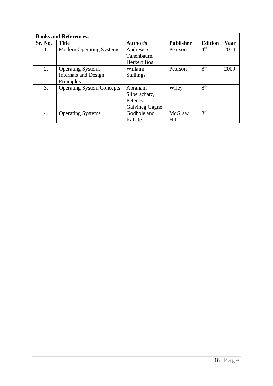| <b>Books and References:</b> |                                  |                       |                  |                 |      |
|------------------------------|----------------------------------|-----------------------|------------------|-----------------|------|
| Sr. No.                      | <b>Title</b>                     | <b>Author/s</b>       | <b>Publisher</b> | <b>Edition</b>  | Year |
| 1.                           | <b>Modern Operating Systems</b>  | Andrew S.             | Pearson          | 4 <sup>th</sup> | 2014 |
|                              |                                  | Tanenbaum,            |                  |                 |      |
|                              |                                  | <b>Herbert Bos</b>    |                  |                 |      |
| 2.                           | Operating Systems –              | Willaim               | Pearson          | $8^{th}$        | 2009 |
|                              | <b>Internals and Design</b>      | <b>Stallings</b>      |                  |                 |      |
|                              | Principles                       |                       |                  |                 |      |
| 3.                           | <b>Operating System Concepts</b> | Abraham               | Wiley            | 8 <sup>th</sup> |      |
|                              |                                  | Silberschatz,         |                  |                 |      |
|                              |                                  | Peter B.              |                  |                 |      |
|                              |                                  | <b>Galvineg Gagne</b> |                  |                 |      |
| 4.                           | <b>Operating Systems</b>         | Godbole and           | McGraw           | 3 <sup>rd</sup> |      |
|                              |                                  | Kahate                | Hill             |                 |      |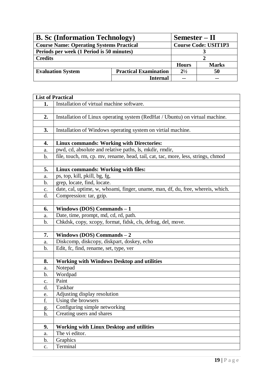| <b>B.</b> Sc (Information Technology)           |                              | Semester – II               |              |
|-------------------------------------------------|------------------------------|-----------------------------|--------------|
| <b>Course Name: Operating Systems Practical</b> |                              | <b>Course Code: USIT1P3</b> |              |
| Periods per week (1 Period is 50 minutes)       |                              |                             |              |
| <b>Credits</b>                                  |                              |                             |              |
|                                                 |                              | <b>Hours</b>                | <b>Marks</b> |
| <b>Evaluation System</b>                        | <b>Practical Examination</b> | $2^{1/2}$                   | 50           |
|                                                 | <b>Internal</b>              | --                          | --           |

|               | <b>List of Practical</b>                                                          |
|---------------|-----------------------------------------------------------------------------------|
| 1.            | Installation of virtual machine software.                                         |
|               |                                                                                   |
| 2.            | Installation of Linux operating system (RedHat / Ubuntu) on virtual machine.      |
|               |                                                                                   |
| 3.            | Installation of Windows operating system on virtial machine.                      |
|               |                                                                                   |
| 4.            | <b>Linux commands: Working with Directories:</b>                                  |
| a.            | pwd, cd, absolute and relative paths, ls, mkdir, rmdir,                           |
| b.            | file, touch, rm, cp. mv, rename, head, tail, cat, tac, more, less, strings, chmod |
|               |                                                                                   |
| 5.            | Linux commands: Working with files:                                               |
| a.            | ps, top, kill, pkill, bg, fg,                                                     |
| $\mathbf b$ . | grep, locate, find, locate.                                                       |
| c.            | date, cal, uptime, w, whoami, finger, uname, man, df, du, free, whereis, which.   |
| d.            | Compression: tar, gzip.                                                           |
|               |                                                                                   |
| 6.            | Windows (DOS) Commands $-1$                                                       |
| a.            | Date, time, prompt, md, cd, rd, path.                                             |
| b.            | Chkdsk, copy, xcopy, format, fidsk, cls, defrag, del, move.                       |
|               |                                                                                   |
| 7.            | Windows (DOS) Commands $-2$                                                       |
| a.            | Diskcomp, diskcopy, diskpart, doskey, echo                                        |
| b.            | Edit, fc, find, rename, set, type, ver                                            |
|               |                                                                                   |
| 8.            | <b>Working with Windows Desktop and utilities</b>                                 |
| a.            | Notepad                                                                           |
| b.            | Wordpad                                                                           |
| c.            | Paint                                                                             |
| d.            | Taskbar                                                                           |
| e.            | Adjusting display resolution                                                      |
| $\mathbf f$   | Using the browsers                                                                |
| g.            | Configuring simple networking                                                     |
| h.            | Creating users and shares                                                         |
|               |                                                                                   |
| 9.            | <b>Working with Linux Desktop and utilities</b>                                   |
| a.            | The vi editor.                                                                    |
| b.            | Graphics                                                                          |
| c.            | Terminal                                                                          |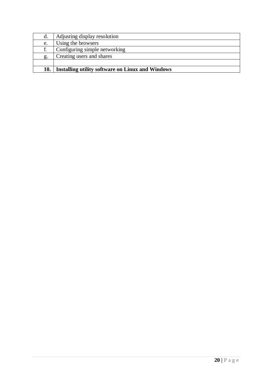| 10. | <b>Installing utility software on Linux and Windows</b> |
|-----|---------------------------------------------------------|
|     |                                                         |
| g.  | Creating users and shares                               |
| f.  | Configuring simple networking                           |
| e.  | Using the browsers                                      |
| d.  | Adjusting display resolution                            |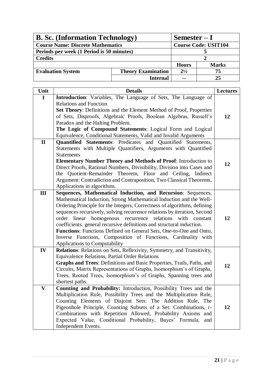| <b>B. Sc.</b> (Information Technology)    |                           | $Semester-I$                |              |
|-------------------------------------------|---------------------------|-----------------------------|--------------|
| <b>Course Name: Discrete Mathematics</b>  |                           | <b>Course Code: USIT104</b> |              |
| Periods per week (1 Period is 50 minutes) |                           |                             |              |
| <b>Credits</b>                            |                           |                             |              |
|                                           |                           | <b>Hours</b>                | <b>Marks</b> |
| <b>Evaluation System</b>                  | <b>Theory Examination</b> | $2^{1/2}$                   | 75           |
|                                           | <b>Internal</b>           | $\sim$ $\sim$               | 25           |

| Unit         | <b>Details</b>                                                                                                                                                                                                                                                                                                                                                                                                                                                                                                                                                                                                         | <b>Lectures</b> |
|--------------|------------------------------------------------------------------------------------------------------------------------------------------------------------------------------------------------------------------------------------------------------------------------------------------------------------------------------------------------------------------------------------------------------------------------------------------------------------------------------------------------------------------------------------------------------------------------------------------------------------------------|-----------------|
| $\mathbf I$  | Introduction: Variables, The Language of Sets, The Language of<br><b>Relations and Function</b><br>Set Theory: Definitions and the Element Method of Proof, Properties                                                                                                                                                                                                                                                                                                                                                                                                                                                 |                 |
|              | of Sets, Disproofs, Algebraic Proofs, Boolean Algebras, Russell's<br>Paradox and the Halting Problem.<br>The Logic of Compound Statements: Logical Form and Logical<br>Equivalence, Conditional Statements, Valid and Invalid Arguments                                                                                                                                                                                                                                                                                                                                                                                | 12              |
| $\mathbf{I}$ | <b>Quantified Statements:</b> Predicates and Quantified Statements,<br>Statements with Multiple Quantifiers, Arguments with Quantified<br><b>Statements</b><br><b>Elementary Number Theory and Methods of Proof:</b> Introduction to<br>Direct Proofs, Rational Numbers, Divisibility, Division into Cases and<br>the Quotient-Remainder Theorem, Floor and Ceiling, Indirect<br>Argument: Contradiction and Contraposition, Two Classical Theorems,<br>Applications in algorithms.                                                                                                                                    | 12              |
| Ш            | Sequences, Mathematical Induction, and Recursion: Sequences,<br>Mathematical Induction, Strong Mathematical Induction and the Well-<br>Ordering Principle for the Integers, Correctness of algorithms, defining<br>sequences recursively, solving recurrence relations by iteration, Second<br>linear<br>homogenous recurrence relations<br>with<br>order<br>constant<br>coefficients. general recursive definitions and structural induction.<br>Functions: Functions Defined on General Sets, One-to-One and Onto,<br>Inverse Functions, Composition of Functions, Cardinality with<br>Applications to Computability | 12              |
| IV           | Relations: Relations on Sets, Reflexivity, Symmetry, and Transitivity,<br><b>Equivalence Relations, Partial Order Relations</b><br>Graphs and Trees: Definitions and Basic Properties, Trails, Paths, and<br>Circuits, Matrix Representations of Graphs, Isomorphism's of Graphs,<br>Trees, Rooted Trees, Isomorphism's of Graphs, Spanning trees and<br>shortest paths.                                                                                                                                                                                                                                               | 12              |
| $\mathbf{V}$ | Counting and Probability: Introduction, Possibility Trees and the<br>Multiplication Rule, Possibility Trees and the Multiplication Rule,<br>Counting Elements of Disjoint Sets: The Addition Rule, The<br>Pigeonhole Principle, Counting Subsets of a Set: Combinations, r-<br>Combinations with Repetition Allowed, Probability Axioms and<br>Expected Value, Conditional Probability, Bayes' Formula,<br>and<br>Independent Events.                                                                                                                                                                                  | 12              |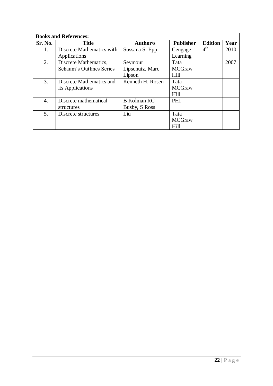| <b>Books and References:</b> |                           |                    |                  |                 |      |
|------------------------------|---------------------------|--------------------|------------------|-----------------|------|
| Sr. No.                      | <b>Title</b>              | <b>Author/s</b>    | <b>Publisher</b> | <b>Edition</b>  | Year |
| 1.                           | Discrete Mathematics with | Sussana S. Epp     | Cengage          | 4 <sup>th</sup> | 2010 |
|                              | Applications              |                    | Learning         |                 |      |
| 2.                           | Discrete Mathematics,     | Seymour            | Tata             |                 | 2007 |
|                              | Schaum's Outlines Series  | Lipschutz, Marc    | <b>MCGraw</b>    |                 |      |
|                              |                           | Lipson             | Hill             |                 |      |
| 3.                           | Discrete Mathematics and  | Kenneth H. Rosen   | Tata             |                 |      |
|                              | its Applications          |                    | <b>MCGraw</b>    |                 |      |
|                              |                           |                    | Hill             |                 |      |
| 4.                           | Discrete mathematical     | <b>B</b> Kolman RC | PHI              |                 |      |
|                              | structures                | Busby, S Ross      |                  |                 |      |
| 5.                           | Discrete structures       | Liu                | Tata             |                 |      |
|                              |                           |                    | <b>MCGraw</b>    |                 |      |
|                              |                           |                    | Hill             |                 |      |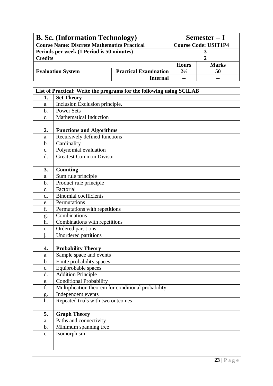| <b>B. Sc.</b> (Information Technology)             |                              |                             | $Semester-I$ |
|----------------------------------------------------|------------------------------|-----------------------------|--------------|
| <b>Course Name: Discrete Mathematics Practical</b> |                              | <b>Course Code: USIT1P4</b> |              |
| Periods per week (1 Period is 50 minutes)          |                              |                             |              |
| <b>Credits</b>                                     |                              |                             |              |
|                                                    |                              | <b>Hours</b>                | <b>Marks</b> |
| <b>Evaluation System</b>                           | <b>Practical Examination</b> | $2^{1/2}$                   | 50           |
|                                                    | <b>Internal</b>              | $- -$                       |              |

|                           | List of Practical: Write the programs for the following using SCILAB |
|---------------------------|----------------------------------------------------------------------|
| 1.                        | <b>Set Theory</b>                                                    |
| a.                        | Inclusion Exclusion principle.                                       |
| $\mathbf b$ .             | <b>Power Sets</b>                                                    |
| c.                        | <b>Mathematical Induction</b>                                        |
|                           |                                                                      |
| 2.                        | <b>Functions and Algorithms</b>                                      |
| a.                        | Recursively defined functions                                        |
| b.                        | Cardinality                                                          |
| c.                        | Polynomial evaluation                                                |
| d.                        | <b>Greatest Common Divisor</b>                                       |
|                           |                                                                      |
| 3.                        | <b>Counting</b>                                                      |
| a.                        | Sum rule principle                                                   |
| b.                        | Product rule principle                                               |
| c.                        | Factorial                                                            |
| d.                        | Binomial coefficients                                                |
| e.                        | Permutations                                                         |
| f.                        | Permutations with repetitions                                        |
| g.                        | Combinations                                                         |
| h.                        | Combinations with repetitions                                        |
| $\overline{\mathbf{i}}$ . | Ordered partitions                                                   |
| $\mathbf{1}$              | Unordered partitions                                                 |
|                           |                                                                      |
| 4.                        | <b>Probability Theory</b>                                            |
| a.                        | Sample space and events                                              |
| b.                        | Finite probability spaces                                            |
| c.                        | Equiprobable spaces                                                  |
| d.                        | <b>Addition Principle</b>                                            |
| e.                        | <b>Conditional Probability</b>                                       |
| f.                        | Multiplication theorem for conditional probability                   |
| g.                        | Independent events                                                   |
| h.                        | Repeated trials with two outcomes                                    |
|                           |                                                                      |
| 5.                        | <b>Graph Theory</b>                                                  |
| a.                        | Paths and connectivity                                               |
| $\mathbf b$ .             | Minimum spanning tree                                                |
| $\mathbf{c}$ .            | Isomorphism                                                          |
|                           |                                                                      |
|                           |                                                                      |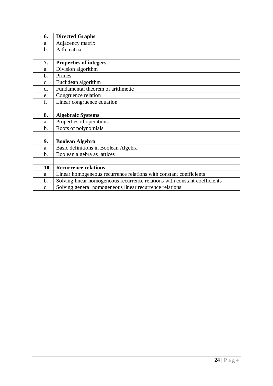| 6.            | <b>Directed Graphs</b>                                                     |
|---------------|----------------------------------------------------------------------------|
| a.            | Adjacency matrix                                                           |
| $\mathbf b$ . | Path matrix                                                                |
|               |                                                                            |
| 7.            | <b>Properties of integers</b>                                              |
| a.            | Division algorithm                                                         |
| b.            | Primes                                                                     |
| c.            | Euclidean algorithm                                                        |
| d.            | Fundamental theorem of arithmetic                                          |
| e.            | Congruence relation                                                        |
| f.            | Linear congruence equation                                                 |
|               |                                                                            |
| 8.            | <b>Algebraic Systems</b>                                                   |
| a.            | Properties of operations                                                   |
| $b$           | Roots of polynomials                                                       |
|               |                                                                            |
| 9.            | <b>Boolean Algebra</b>                                                     |
| a.            | Basic definitions in Boolean Algebra                                       |
| $\mathbf b$ . | Boolean algebra as lattices                                                |
|               |                                                                            |
| 10.           | <b>Recurrence relations</b>                                                |
| a.            | Linear homogeneous recurrence relations with constant coefficients         |
| $\mathbf b$ . | Solving linear homogeneous recurrence relations with constant coefficients |
| c.            | Solving general homogeneous linear recurrence relations                    |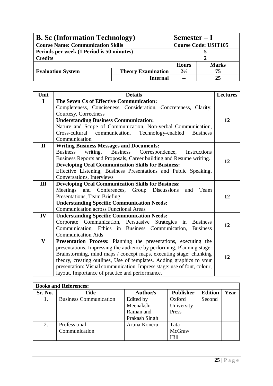| <b>B.</b> Sc (Information Technology)     |                           | $Semester-I$                |              |
|-------------------------------------------|---------------------------|-----------------------------|--------------|
| <b>Course Name: Communication Skills</b>  |                           | <b>Course Code: USIT105</b> |              |
| Periods per week (1 Period is 50 minutes) |                           |                             |              |
| <b>Credits</b>                            |                           |                             |              |
|                                           |                           | <b>Hours</b>                | <b>Marks</b> |
| <b>Evaluation System</b>                  | <b>Theory Examination</b> | $2^{1/2}$                   | 75           |
|                                           | <b>Internal</b>           | $\sim$ $\sim$               | 25           |

| Unit         | <b>Details</b>                                                          | <b>Lectures</b> |
|--------------|-------------------------------------------------------------------------|-----------------|
| $\mathbf I$  | The Seven Cs of Effective Communication:                                |                 |
|              | Completeness, Conciseness, Consideration, Concreteness, Clarity,        |                 |
|              | Courtesy, Correctness                                                   |                 |
|              | <b>Understanding Business Communication:</b>                            | 12              |
|              | Nature and Scope of Communication, Non-verbal Communication,            |                 |
|              | Cross-cultural communication,<br>Technology-enabled<br><b>Business</b>  |                 |
|              | Communication                                                           |                 |
| $\mathbf{I}$ | <b>Writing Business Messages and Documents:</b>                         |                 |
|              | writing,<br>Business Correspondence,<br><b>Business</b><br>Instructions |                 |
|              | Business Reports and Proposals, Career building and Resume writing.     | 12              |
|              | <b>Developing Oral Communication Skills for Business:</b>               |                 |
|              | Effective Listening, Business Presentations and Public Speaking,        |                 |
|              | Conversations, Interviews                                               |                 |
| III          | <b>Developing Oral Communication Skills for Business:</b>               |                 |
|              | and Conferences,<br>Group Discussions<br>Meetings<br>and<br>Team        |                 |
|              | Presentations, Team Briefing,                                           | 12              |
|              | <b>Understanding Specific Communication Needs:</b>                      |                 |
|              | <b>Communication across Functional Areas</b>                            |                 |
| IV           | <b>Understanding Specific Communication Needs:</b>                      |                 |
|              | Corporate Communication, Persuasive Strategies in Business              | 12              |
|              | Communication, Ethics in Business Communication,<br><b>Business</b>     |                 |
|              | <b>Communication Aids</b>                                               |                 |
| $\mathbf{V}$ | Presentation Process: Planning the presentations, executing the         |                 |
|              | presentations, Impressing the audience by performing, Planning stage:   |                 |
|              | Brainstorming, mind maps / concept maps, executing stage: chunking      | 12              |
|              | theory, creating outlines, Use of templates. Adding graphics to your    |                 |
|              | presentation: Visual communication, Impress stage: use of font, colour, |                 |
|              | layout, Importance of practice and performance.                         |                 |

| <b>Books and References:</b> |                               |                 |                  |                |      |
|------------------------------|-------------------------------|-----------------|------------------|----------------|------|
| Sr. No.                      | <b>Title</b>                  | <b>Author/s</b> | <b>Publisher</b> | <b>Edition</b> | Year |
|                              | <b>Business Communication</b> | Edited by       | Oxford           | Second         |      |
|                              |                               | Meenakshi       | University       |                |      |
|                              |                               | Raman and       | Press            |                |      |
|                              |                               | Prakash Singh   |                  |                |      |
| 2.                           | Professional                  | Aruna Koneru    | Tata             |                |      |
|                              | Communication                 |                 | McGraw           |                |      |
|                              |                               |                 | Hill             |                |      |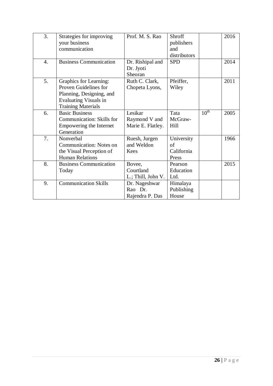| 3. | Strategies for improving<br>your business<br>communication                                                                                      | Prof. M. S. Rao                               | Shroff<br>publishers<br>and<br>distributors |                  | 2016 |
|----|-------------------------------------------------------------------------------------------------------------------------------------------------|-----------------------------------------------|---------------------------------------------|------------------|------|
| 4. | <b>Business Communication</b>                                                                                                                   | Dr. Rishipal and<br>Dr. Jyoti<br>Sheoran      | <b>SPD</b>                                  |                  | 2014 |
| 5. | <b>Graphics for Learning:</b><br>Proven Guidelines for<br>Planning, Designing, and<br><b>Evaluating Visuals in</b><br><b>Training Materials</b> | Ruth C. Clark,<br>Chopeta Lyons,              | Pfeiffer,<br>Wiley                          |                  | 2011 |
| 6. | <b>Basic Business</b><br>Communication: Skills for<br>Empowering the Internet<br>Generation                                                     | Lesikar<br>Raymond V and<br>Marie E. Flatley. | Tata<br>McGraw-<br>Hill                     | 10 <sup>th</sup> | 2005 |
| 7. | Nonverbal<br><b>Communication: Notes on</b><br>the Visual Perception of<br><b>Human Relations</b>                                               | Ruesh, Jurgen<br>and Weldon<br>Kees           | University<br>of<br>California<br>Press     |                  | 1966 |
| 8. | <b>Business Communication</b><br>Today                                                                                                          | Bovee,<br>Courtland<br>L.; Thill, John V.     | Pearson<br>Education<br>Ltd.                |                  | 2015 |
| 9. | <b>Communication Skills</b>                                                                                                                     | Dr. Nageshwar<br>Rao Dr.<br>Rajendra P. Das   | Himalaya<br>Publishing<br>House             |                  |      |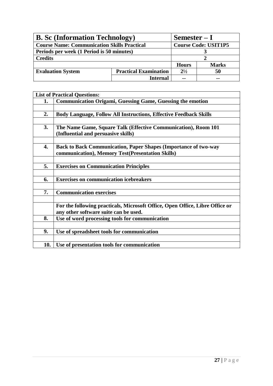| <b>B. Sc (Information Technology)</b>              |                              | $Semester-I$                |              |
|----------------------------------------------------|------------------------------|-----------------------------|--------------|
| <b>Course Name: Communication Skills Practical</b> |                              | <b>Course Code: USIT1P5</b> |              |
| Periods per week (1 Period is 50 minutes)          |                              |                             |              |
| <b>Credits</b>                                     |                              |                             |              |
|                                                    |                              | <b>Hours</b>                | <b>Marks</b> |
| <b>Evaluation System</b>                           | <b>Practical Examination</b> | $2^{1/2}$                   | 50           |
|                                                    | <b>Internal</b>              | $\sim$ $\sim$               | $- -$        |

|     | <b>List of Practical Questions:</b>                                          |
|-----|------------------------------------------------------------------------------|
| 1.  | <b>Communication Origami, Guessing Game, Guessing the emotion</b>            |
|     |                                                                              |
| 2.  | <b>Body Language, Follow All Instructions, Effective Feedback Skills</b>     |
|     |                                                                              |
| 3.  | The Name Game, Square Talk (Effective Communication), Room 101               |
|     | (Influential and persuasive skills)                                          |
|     |                                                                              |
| 4.  | <b>Back to Back Communication, Paper Shapes (Importance of two-way</b>       |
|     | communication), Memory Test(Presentation Skills)                             |
|     |                                                                              |
| 5.  | <b>Exercises on Communication Principles</b>                                 |
|     |                                                                              |
| 6.  | <b>Exercises on communication icebreakers</b>                                |
|     |                                                                              |
| 7.  | <b>Communication exercises</b>                                               |
|     |                                                                              |
|     | For the following practicals, Microsoft Office, Open Office, Libre Office or |
|     | any other software suite can be used.                                        |
| 8.  | Use of word processing tools for communication                               |
|     |                                                                              |
| 9.  | Use of spreadsheet tools for communication                                   |
|     |                                                                              |
| 10. | Use of presentation tools for communication                                  |
|     |                                                                              |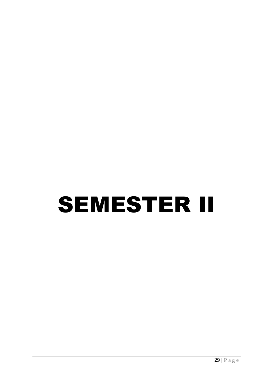# SEMESTER II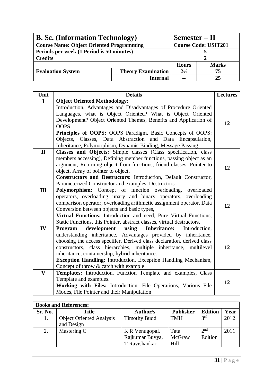| <b>B. Sc.</b> (Information Technology)          |                           | $Semester - II$             |              |
|-------------------------------------------------|---------------------------|-----------------------------|--------------|
| <b>Course Name: Object Oriented Programming</b> |                           | <b>Course Code: USIT201</b> |              |
| Periods per week (1 Period is 50 minutes)       |                           |                             |              |
| <b>Credits</b>                                  |                           |                             |              |
|                                                 |                           | <b>Hours</b>                | <b>Marks</b> |
| <b>Evaluation System</b>                        | <b>Theory Examination</b> | $2^{1/2}$                   | 75           |
|                                                 | <b>Internal</b>           | $\sim$ $\sim$               | 25           |

| Unit         | <b>Details</b>                                                          | <b>Lectures</b> |
|--------------|-------------------------------------------------------------------------|-----------------|
| I            | <b>Object Oriented Methodology:</b>                                     |                 |
|              | Introduction, Advantages and Disadvantages of Procedure Oriented        |                 |
|              | Languages, what is Object Oriented? What is Object Oriented             |                 |
|              | Development? Object Oriented Themes, Benefits and Application of        | 12              |
|              | OOPS.                                                                   |                 |
|              | Principles of OOPS: OOPS Paradigm, Basic Concepts of OOPS:              |                 |
|              | Objects, Classes, Data Abstraction and Data Encapsulation,              |                 |
|              | Inheritance, Polymorphism, Dynamic Binding, Message Passing             |                 |
| $\mathbf{I}$ | Classes and Objects: Simple classes (Class specification, class         |                 |
|              | members accessing), Defining member functions, passing object as an     |                 |
|              | argument, Returning object from functions, friend classes, Pointer to   | 12              |
|              | object, Array of pointer to object.                                     |                 |
|              | Constructors and Destructors: Introduction, Default Constructor,        |                 |
|              | Parameterized Constructor and examples, Destructors                     |                 |
| Ш            | Polymorphism: Concept of function overloading,<br>overloaded            |                 |
|              | operators, overloading unary and binary operators, overloading          |                 |
|              | comparison operator, overloading arithmetic assignment operator, Data   | 12              |
|              | Conversion between objects and basic types,                             |                 |
|              | Virtual Functions: Introduction and need, Pure Virtual Functions,       |                 |
|              | Static Functions, this Pointer, abstract classes, virtual destructors.  |                 |
| IV           | using<br><b>Inheritance:</b><br>Program<br>development<br>Introduction, |                 |
|              | understanding inheritance, Advantages provided by inheritance,          |                 |
|              | choosing the access specifier, Derived class declaration, derived class |                 |
|              | constructors, class hierarchies, multiple inheritance, multilevel       | 12              |
|              | inheritance, containership, hybrid inheritance.                         |                 |
|              | <b>Exception Handling:</b> Introduction, Exception Handling Mechanism,  |                 |
|              | Concept of throw & catch with example                                   |                 |
| $\mathbf{V}$ | Templates: Introduction, Function Template and examples, Class          |                 |
|              | Template and examples.                                                  | 12              |
|              | Working with Files: Introduction, File Operations, Various File         |                 |
|              | Modes, File Pointer and their Manipulation                              |                 |

|         | <b>Books and References:</b>                  |                                                    |                        |                            |      |
|---------|-----------------------------------------------|----------------------------------------------------|------------------------|----------------------------|------|
| Sr. No. | Title                                         | Author/s                                           | <b>Publisher</b>       | <b>Edition</b>             | Year |
| 1.      | <b>Object Oriented Analysis</b><br>and Design | <b>Timothy Budd</b>                                | <b>TMH</b>             | 3 <sup>rd</sup>            | 2012 |
| 2.      | Mastering $C++$                               | K R Venugopal,<br>Rajkumar Buyya,<br>T Ravishankar | Tata<br>McGraw<br>Hill | 2 <sup>nd</sup><br>Edition | 2011 |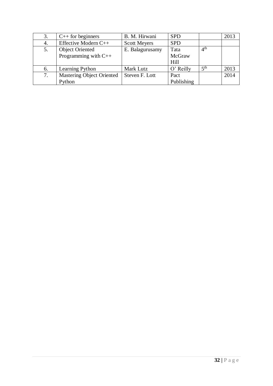| 3. | $C++$ for beginners              | B. M. Hirwani       | <b>SPD</b> |                 | 2013 |
|----|----------------------------------|---------------------|------------|-----------------|------|
| 4. | Effective Modern C++             | <b>Scott Meyers</b> | <b>SPD</b> |                 |      |
| 5. | <b>Object Oriented</b>           | E. Balagurusamy     | Tata       | 4 <sup>th</sup> |      |
|    | Programming with $C++$           |                     | McGraw     |                 |      |
|    |                                  |                     | Hill       |                 |      |
| 6. | Learning Python                  | Mark Lutz           | O' Reilly  | 5 <sup>th</sup> | 2013 |
| 7. | <b>Mastering Object Oriented</b> | Steven F. Lott      | Pact       |                 | 2014 |
|    | Python                           |                     | Publishing |                 |      |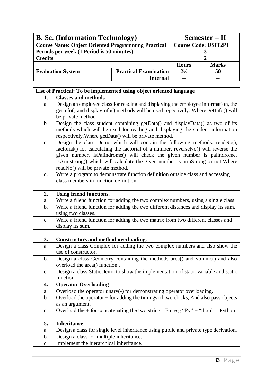| <b>B. Sc.</b> (Information Technology)                    |                              | $Semester - II$ |                             |
|-----------------------------------------------------------|------------------------------|-----------------|-----------------------------|
| <b>Course Name: Object Oriented Programming Practical</b> |                              |                 | <b>Course Code: USIT2P1</b> |
| Periods per week (1 Period is 50 minutes)                 |                              |                 |                             |
| <b>Credits</b>                                            |                              |                 |                             |
|                                                           |                              | <b>Hours</b>    | <b>Marks</b>                |
| <b>Evaluation System</b>                                  | <b>Practical Examination</b> | $2^{1/2}$       | 50                          |
|                                                           | Internal                     | $- -$           |                             |

|                | List of Practical: To be implemented using object oriented language                                                                                                                                                                                                                                                                                               |
|----------------|-------------------------------------------------------------------------------------------------------------------------------------------------------------------------------------------------------------------------------------------------------------------------------------------------------------------------------------------------------------------|
| 1.             | <b>Classes and methods</b>                                                                                                                                                                                                                                                                                                                                        |
| a.             | Design an employee class for reading and displaying the employee information, the<br>getInfo() and displayInfo() methods will be used repectively. Where getInfo() will<br>be private method                                                                                                                                                                      |
| $\mathbf b$ .  | Design the class student containing getData() and displayData() as two of its<br>methods which will be used for reading and displaying the student information<br>respectively. Where getData() will be private method.                                                                                                                                           |
| $C_{\bullet}$  | Design the class Demo which will contain the following methods: readNo(),<br>factorial() for calculating the factorial of a number, reverseNo() will reverse the<br>given number, isPalindrome() will check the given number is palindrome,<br>isArmstrong() which will calculate the given number is armStrong or not. Where<br>readNo() will be private method. |
| d.             | Write a program to demonstrate function definition outside class and accessing<br>class members in function definition.                                                                                                                                                                                                                                           |
| 2.             | <b>Using friend functions.</b>                                                                                                                                                                                                                                                                                                                                    |
| a.             | Write a friend function for adding the two complex numbers, using a single class                                                                                                                                                                                                                                                                                  |
| $\mathbf b$ .  | Write a friend function for adding the two different distances and display its sum,<br>using two classes.                                                                                                                                                                                                                                                         |
| c.             | Write a friend function for adding the two matrix from two different classes and<br>display its sum.                                                                                                                                                                                                                                                              |
|                |                                                                                                                                                                                                                                                                                                                                                                   |
| 3.             | Constructors and method overloading.                                                                                                                                                                                                                                                                                                                              |
| a.             | Design a class Complex for adding the two complex numbers and also show the<br>use of constructor.                                                                                                                                                                                                                                                                |
| $\mathbf b$ .  | Design a class Geometry containing the methods area() and volume() and also<br>overload the area() function.                                                                                                                                                                                                                                                      |
| c.             | Design a class StaticDemo to show the implementation of static variable and static<br>function.                                                                                                                                                                                                                                                                   |
| 4.             | <b>Operator Overloading</b>                                                                                                                                                                                                                                                                                                                                       |
| a.             | Overload the operator unary(-) for demonstrating operator overloading.                                                                                                                                                                                                                                                                                            |
| $\mathbf b$ .  | Overload the operator $+$ for adding the timings of two clocks, And also pass objects<br>as an argument.                                                                                                                                                                                                                                                          |
| c.             | Overload the + for concatenating the two strings. For e.g "Py" + "thon" = Python                                                                                                                                                                                                                                                                                  |
| 5.             | <b>Inheritance</b>                                                                                                                                                                                                                                                                                                                                                |
| a.             | Design a class for single level inheritance using public and private type derivation.                                                                                                                                                                                                                                                                             |
| b.             | Design a class for multiple inheritance.                                                                                                                                                                                                                                                                                                                          |
| $\mathbf{C}$ . | Implement the hierarchical inheritance.                                                                                                                                                                                                                                                                                                                           |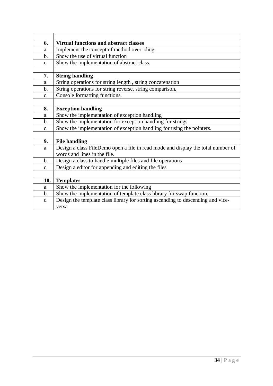| 6.             | <b>Virtual functions and abstract classes</b>                                    |
|----------------|----------------------------------------------------------------------------------|
| a.             | Implement the concept of method overriding.                                      |
| $\mathbf b$ .  | Show the use of virtual function                                                 |
| c.             | Show the implementation of abstract class.                                       |
|                |                                                                                  |
| 7.             | <b>String handling</b>                                                           |
| a.             | String operations for string length, string concatenation                        |
| b.             | String operations for string reverse, string comparison,                         |
| $C_{\bullet}$  | Console formatting functions.                                                    |
|                |                                                                                  |
| 8.             | <b>Exception handling</b>                                                        |
| a.             | Show the implementation of exception handling                                    |
| $\mathbf b$ .  | Show the implementation for exception handling for strings                       |
| C <sub>1</sub> | Show the implementation of exception handling for using the pointers.            |
|                |                                                                                  |
| 9.             | <b>File handling</b>                                                             |
| a.             | Design a class FileDemo open a file in read mode and display the total number of |
|                | words and lines in the file.                                                     |
| $\mathbf b$ .  | Design a class to handle multiple files and file operations                      |
| c.             | Design a editor for appending and editing the files                              |
|                |                                                                                  |
| 10.            | <b>Templates</b>                                                                 |
| a.             | Show the implementation for the following                                        |
| b.             | Show the implementation of template class library for swap function.             |
| c.             | Design the template class library for sorting ascending to descending and vice-  |
|                | versa                                                                            |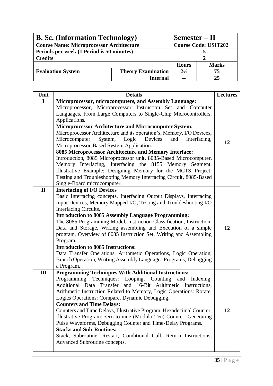| <b>B. Sc.</b> (Information Technology)                |                 |              | Semester – II               |  |
|-------------------------------------------------------|-----------------|--------------|-----------------------------|--|
| <b>Course Name: Microprocessor Architecture</b>       |                 |              | <b>Course Code: USIT202</b> |  |
| Periods per week (1 Period is 50 minutes)             |                 |              |                             |  |
| <b>Credits</b>                                        |                 |              |                             |  |
|                                                       |                 | <b>Hours</b> | <b>Marks</b>                |  |
| <b>Evaluation System</b><br><b>Theory Examination</b> |                 | $2^{1/2}$    | 75                          |  |
|                                                       | <b>Internal</b> | --           | 25                          |  |

| Unit         | <b>Details</b>                                                        | <b>Lectures</b> |
|--------------|-----------------------------------------------------------------------|-----------------|
| $\mathbf I$  | Microprocessor, microcomputers, and Assembly Language:                |                 |
|              | Microprocessor, Microprocessor Instruction Set and Computer           |                 |
|              | Languages, From Large Computers to Single-Chip Microcontrollers,      |                 |
|              | Applications.                                                         |                 |
|              | <b>Microprocessor Architecture and Microcomputer System:</b>          |                 |
|              | Microprocessor Architecture and its operation's, Memory, I/O Devices, |                 |
|              | Microcomputer<br>System,<br>Devices<br>Logic<br>and<br>Interfacing,   | 12              |
|              | Microprocessor-Based System Application.                              |                 |
|              | 8085 Microprocessor Architecture and Memory Interface:                |                 |
|              | Introduction, 8085 Microprocessor unit, 8085-Based Microcomputer,     |                 |
|              | Memory Interfacing, Interfacing the 8155 Memory Segment,              |                 |
|              | Illustrative Example: Designing Memory for the MCTS Project,          |                 |
|              | Testing and Troubleshooting Memory Interfacing Circuit, 8085-Based    |                 |
|              | Single-Board microcomputer.                                           |                 |
| $\mathbf{I}$ | <b>Interfacing of I/O Devices</b>                                     |                 |
|              | Basic Interfacing concepts, Interfacing Output Displays, Interfacing  |                 |
|              | Input Devices, Memory Mapped I/O, Testing and Troubleshooting I/O     |                 |
|              | Interfacing Circuits.                                                 |                 |
|              | <b>Introduction to 8085 Assembly Language Programming:</b>            |                 |
|              | The 8085 Programming Model, Instruction Classification, Instruction,  |                 |
|              | Data and Storage, Writing assembling and Execution of a simple        | 12              |
|              | program, Overview of 8085 Instruction Set, Writing and Assembling     |                 |
|              | Program.                                                              |                 |
|              | <b>Introduction to 8085 Instructions:</b>                             |                 |
|              | Data Transfer Operations, Arithmetic Operations, Logic Operation,     |                 |
|              | Branch Operation, Writing Assembly Languages Programs, Debugging      |                 |
|              | a Program.                                                            |                 |
| III          | <b>Programming Techniques With Additional Instructions:</b>           |                 |
|              | Programming Techniques: Looping, Counting and Indexing,               |                 |
|              | Additional Data Transfer and 16-Bit Arithmetic Instructions,          |                 |
|              | Arithmetic Instruction Related to Memory, Logic Operations: Rotate,   |                 |
|              | Logics Operations: Compare, Dynamic Debugging.                        |                 |
|              | <b>Counters and Time Delays:</b>                                      |                 |
|              | Counters and Time Delays, Illustrative Program: Hexadecimal Counter,  | 12              |
|              | Illustrative Program: zero-to-nine (Modulo Ten) Counter, Generating   |                 |
|              | Pulse Waveforms, Debugging Counter and Time-Delay Programs.           |                 |
|              | <b>Stacks and Sub-Routines:</b>                                       |                 |
|              | Stack, Subroutine, Restart, Conditional Call, Return Instructions,    |                 |
|              | Advanced Subroutine concepts.                                         |                 |
|              |                                                                       |                 |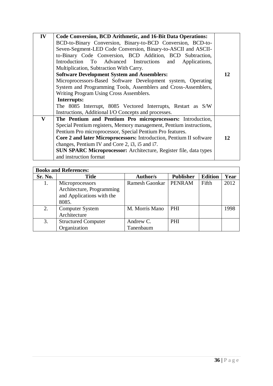| IV | Code Conversion, BCD Arithmetic, and 16-Bit Data Operations:             |    |  |
|----|--------------------------------------------------------------------------|----|--|
|    | BCD-to-Binary Conversion, Binary-to-BCD Conversion, BCD-to-              |    |  |
|    | Seven-Segment-LED Code Conversion, Binary-to-ASCII and ASCII-            |    |  |
|    | to-Binary Code Conversion, BCD Addition, BCD Subtraction,                |    |  |
|    | Introduction To Advanced Instructions and Applications,                  |    |  |
|    | Multiplication, Subtraction With Carry.                                  |    |  |
|    | <b>Software Development System and Assemblers:</b>                       | 12 |  |
|    | Microprocessors-Based Software Development system, Operating             |    |  |
|    | System and Programming Tools, Assemblers and Cross-Assemblers,           |    |  |
|    | Writing Program Using Cross Assemblers.                                  |    |  |
|    | Interrupts:                                                              |    |  |
|    | The 8085 Interrupt, 8085 Vectored Interrupts, Restart as S/W             |    |  |
|    | Instructions, Additional I/O Concepts and processes.                     |    |  |
| V  | The Pentium and Pentium Pro microprocessors: Introduction,               |    |  |
|    | Special Pentium registers, Memory management, Pentium instructions,      |    |  |
|    | Pentium Pro microprocessor, Special Pentium Pro features.                |    |  |
|    | Core 2 and later Microprocessors: Introduction, Pentium II software      | 12 |  |
|    | changes, Pentium IV and Core 2, i3, i5 and i7.                           |    |  |
|    | <b>SUN SPARC Microprocessor:</b> Architecture, Register file, data types |    |  |
|    | and instruction format                                                   |    |  |

|         | <b>Books and References:</b> |                       |                  |                |      |
|---------|------------------------------|-----------------------|------------------|----------------|------|
| Sr. No. | <b>Title</b>                 | <b>Author/s</b>       | <b>Publisher</b> | <b>Edition</b> | Year |
| 1.      | Microprocessors              | <b>Ramesh Gaonkar</b> | <b>PENRAM</b>    | Fifth          | 2012 |
|         | Architecture, Programming    |                       |                  |                |      |
|         | and Applications with the    |                       |                  |                |      |
|         | 8085.                        |                       |                  |                |      |
| 2.      | <b>Computer System</b>       | M. Morris Mano        | PHI              |                | 1998 |
|         | Architecture                 |                       |                  |                |      |
| 3.      | <b>Structured Computer</b>   | Andrew C.             | <b>PHI</b>       |                |      |
|         | Organization                 | Tanenbaum             |                  |                |      |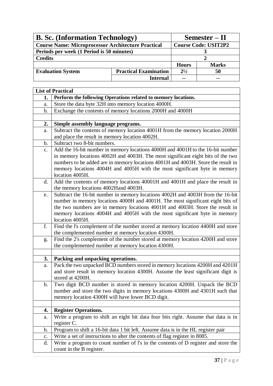| <b>B. Sc.</b> (Information Technology)                    |                              |               | $Semester - II$             |
|-----------------------------------------------------------|------------------------------|---------------|-----------------------------|
| <b>Course Name: Microprocessor Architecture Practical</b> |                              |               | <b>Course Code: USIT2P2</b> |
| Periods per week (1 Period is 50 minutes)                 |                              |               |                             |
| <b>Credits</b>                                            |                              |               |                             |
|                                                           |                              | <b>Hours</b>  | <b>Marks</b>                |
| <b>Evaluation System</b>                                  | <b>Practical Examination</b> | $2^{1/2}$     | 50                          |
|                                                           | Internal                     | $\sim$ $\sim$ |                             |

|                | <b>List of Practical</b>                                                                                                             |
|----------------|--------------------------------------------------------------------------------------------------------------------------------------|
| 1.             | Perform the following Operations related to memory locations.                                                                        |
| a.             | Store the data byte 32H into memory location 4000H.                                                                                  |
| b.             | Exchange the contents of memory locations 2000H and 4000H                                                                            |
|                |                                                                                                                                      |
| 2.             | Simple assembly language programs.                                                                                                   |
| a.             | Subtract the contents of memory location 4001H from the memory location 2000H                                                        |
|                | and place the result in memory location 4002H.                                                                                       |
| b.             | Subtract two 8-bit numbers.                                                                                                          |
| $\mathbf{c}$ . | Add the 16-bit number in memory locations 4000H and 4001H to the 16-bit number                                                       |
|                | in memory locations 4002H and 4003H. The most significant eight bits of the two                                                      |
|                | numbers to be added are in memory locations 4001H and 4003H. Store the result in                                                     |
|                | memory locations 4004H and 4005H with the most significant byte in memory                                                            |
|                | location 4005H.                                                                                                                      |
| d.             | Add the contents of memory locations 40001H and 4001H and place the result in                                                        |
|                | the memory locations 4002Hand 4003H.                                                                                                 |
| e.             | Subtract the 16-bit number in memory locations 4002H and 4003H from the 16-bit                                                       |
|                | number in memory locations 4000H and 4001H. The most significant eight bits of                                                       |
|                | the two numbers are in memory locations 4001H and 4003H. Store the result in                                                         |
|                | memory locations 4004H and 4005H with the most significant byte in memory                                                            |
|                | location 4005H.                                                                                                                      |
| f.             | Find the I's complement of the number stored at memory location 4400H and store                                                      |
|                | the complemented number at memory location 4300H.<br>Find the 2's complement of the number stored at memory location 4200H and store |
| g.             | the complemented number at memory location 4300H.                                                                                    |
|                |                                                                                                                                      |
| 3.             | Packing and unpacking operations.                                                                                                    |
| a.             | Pack the two unpacked BCD numbers stored in memory locations 4200H and 4201H                                                         |
|                | and store result in memory location 4300H. Assume the least significant digit is                                                     |
|                | stored at 4200H.                                                                                                                     |
| $\mathbf b$ .  | Two digit BCD number is stored in memory location 4200H. Unpack the BCD                                                              |
|                | number and store the two digits in memory locations 4300H and 4301H such that                                                        |
|                | memory location 4300H will have lower BCD digit.                                                                                     |
|                |                                                                                                                                      |
| 4.             | <b>Register Operations.</b>                                                                                                          |
| a.             | Write a program to shift an eight bit data four bits right. Assume that data is in                                                   |
|                | register C.                                                                                                                          |
| b.             | Program to shift a 16-bit data 1 bit left. Assume data is in the HL register pair                                                    |
| $\mathbf{c}.$  | Write a set of instructions to alter the contents of flag register in 8085.                                                          |
| d.             | Write a program to count number of l's in the contents of D register and store the                                                   |
|                | count in the B register.                                                                                                             |
|                |                                                                                                                                      |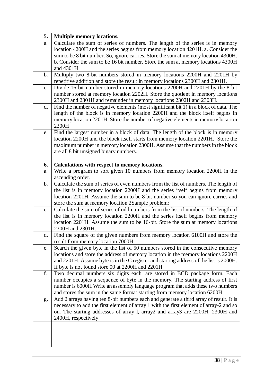| 5. | <b>Multiple memory locations.</b>                                                                                                                                                                                                                                                                                                            |
|----|----------------------------------------------------------------------------------------------------------------------------------------------------------------------------------------------------------------------------------------------------------------------------------------------------------------------------------------------|
| a. | Calculate the sum of series of numbers. The length of the series is in memory<br>location 4200H and the series begins from memory location 4201H. a. Consider the<br>sum to be 8 bit number. So, ignore carries. Store the sum at memory location 4300H.<br>b. Consider the sum to be 16 bit number. Store the sum at memory locations 4300H |
|    | and 4301H                                                                                                                                                                                                                                                                                                                                    |
| b. | Multiply two 8-bit numbers stored in memory locations 2200H and 2201H by<br>repetitive addition and store the result in memory locations 2300H and 2301H.                                                                                                                                                                                    |
| c. | Divide 16 bit number stored in memory locations 2200H and 2201H by the 8 bit<br>number stored at memory location 2202H. Store the quotient in memory locations<br>2300H and 2301H and remainder in memory locations 2302H and 2303H.                                                                                                         |
| d. | Find the number of negative elements (most significant bit 1) in a block of data. The<br>length of the block is in memory location 2200H and the block itself begins in<br>memory location 2201H. Store the number of negative elements in memory location<br>2300H                                                                          |
| e. | Find the largest number in a block of data. The length of the block is in memory<br>location 2200H and the block itself starts from memory location 2201H. Store the<br>maximum number in memory location 2300H. Assume that the numbers in the block<br>are all 8 bit unsigned binary numbers.                                              |
| 6. | Calculations with respect to memory locations.                                                                                                                                                                                                                                                                                               |
| a. | Write a program to sort given 10 numbers from memory location 2200H in the<br>ascending order.                                                                                                                                                                                                                                               |
| b. | Calculate the sum of series of even numbers from the list of numbers. The length of<br>the list is in memory location 2200H and the series itself begins from memory<br>location 2201H. Assume the sum to be 8 bit number so you can ignore carries and<br>store the sum at memory location 2Sample problem:                                 |
| c. | Calculate the sum of series of odd numbers from the list of numbers. The length of<br>the list is in memory location 2200H and the series itself begins from memory<br>location 2201H. Assume the sum to be 16-bit. Store the sum at memory locations<br>2300H and 2301H.                                                                    |
| d. | Find the square of the given numbers from memory location 6100H and store the<br>result from memory location 7000H                                                                                                                                                                                                                           |
| e. | Search the given byte in the list of 50 numbers stored in the consecutive memory<br>locations and store the address of memory location in the memory locations 2200H<br>and 2201H. Assume byte is in the C register and starting address of the list is 2000H.<br>If byte is not found store 00 at 2200H and 2201H                           |
| f. | Two decimal numbers six digits each, are stored in BCD package form. Each<br>number occupies a sequence of byte in the memory. The starting address of first<br>number is 6000H Write an assembly language program that adds these two numbers<br>and stores the sum in the same format starting from memory location 6200H                  |
| g. | Add 2 arrays having ten 8-bit numbers each and generate a third array of result. It is<br>necessary to add the first element of array 1 with the first element of array-2 and so<br>on. The starting addresses of array 1, array2 and array3 are 2200H, 2300H and<br>2400H, respectively                                                     |
|    |                                                                                                                                                                                                                                                                                                                                              |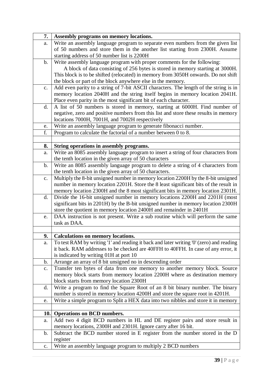| 7.            | Assembly programs on memory locations.                                                                                        |  |  |
|---------------|-------------------------------------------------------------------------------------------------------------------------------|--|--|
| a.            | Write an assembly language program to separate even numbers from the given list                                               |  |  |
|               | of 50 numbers and store them in the another list starting from 2300H. Assume                                                  |  |  |
|               | starting address of 50 number list is 2200H                                                                                   |  |  |
| $\mathbf b$ . | Write assembly language program with proper comments for the following:                                                       |  |  |
|               | A block of data consisting of 256 bytes is stored in memory starting at 3000H.                                                |  |  |
|               | This block is to be shifted (relocated) in memory from 3050H onwards. Do not shift                                            |  |  |
|               | the block or part of the block anywhere else in the memory.                                                                   |  |  |
| $C_{\bullet}$ | Add even parity to a string of 7-bit ASCII characters. The length of the string is in                                         |  |  |
|               | memory location 2040H and the string itself begins in memory location 2041H.                                                  |  |  |
|               | Place even parity in the most significant bit of each character.                                                              |  |  |
| d.            | A list of 50 numbers is stored in memory, starting at 6000H. Find number of                                                   |  |  |
|               | negative, zero and positive numbers from this list and store these results in memory                                          |  |  |
|               | locations 7000H, 7001H, and 7002H respectively                                                                                |  |  |
| e.            | Write an assembly language program to generate fibonacci number.                                                              |  |  |
| f.            | Program to calculate the factorial of a number between 0 to 8.                                                                |  |  |
|               |                                                                                                                               |  |  |
| 8.            | String operations in assembly programs.<br>Write an 8085 assembly language program to insert a string of four characters from |  |  |
| a.            | the tenth location in the given array of 50 characters                                                                        |  |  |
| $\mathbf b$ . | Write an 8085 assembly language program to delete a string of 4 characters from                                               |  |  |
|               | the tenth location in the given array of 50 characters.                                                                       |  |  |
| c.            | Multiply the 8-bit unsigned number in memory location 2200H by the 8-bit unsigned                                             |  |  |
|               | number in memory location 2201H. Store the 8 least significant bits of the result in                                          |  |  |
|               | memory location 2300H and the 8 most significant bits in memory location 2301H.                                               |  |  |
| d.            | Divide the 16-bit unsigned number in memory locations 2200H and 2201H (most                                                   |  |  |
|               | significant bits in 2201H) by the B-bit unsigned number in memory location 2300H                                              |  |  |
|               | store the quotient in memory location 2400H and remainder in 2401H                                                            |  |  |
| e.            | DAA instruction is not present. Write a sub routine which will perform the same                                               |  |  |
|               | task as DAA.                                                                                                                  |  |  |
|               |                                                                                                                               |  |  |
| 9.            | <b>Calculations on memory locations.</b>                                                                                      |  |  |
| ${\bf a}.$    | To test RAM by writing '1' and reading it back and later writing '0' (zero) and reading                                       |  |  |
|               | it back. RAM addresses to be checked are 40FFH to 40FFH. In case of any error, it                                             |  |  |
|               | is indicated by writing 01H at port 10                                                                                        |  |  |
| $\mathbf b$ . | Arrange an array of 8 bit unsigned no in descending order                                                                     |  |  |
| c.            | Transfer ten bytes of data from one memory to another memory block. Source                                                    |  |  |
|               | memory block starts from memory location 2200H where as destination memory                                                    |  |  |
|               | block starts from memory location 2300H                                                                                       |  |  |
| d.            | Write a program to find the Square Root of an 8 bit binary number. The binary                                                 |  |  |
|               | number is stored in memory location 4200H and store the square root in 4201H.                                                 |  |  |
| e.            | Write a simple program to Split a HEX data into two nibbles and store it in memory                                            |  |  |
| 10.           | <b>Operations on BCD numbers.</b>                                                                                             |  |  |
|               | Add two 4 digit BCD numbers in HL and DE register pairs and store result in                                                   |  |  |
| a.            | memory locations, 2300H and 2301H. Ignore carry after 16 bit.                                                                 |  |  |
| $\mathbf b$ . | Subtract the BCD number stored in E register from the number stored in the D                                                  |  |  |
|               | register                                                                                                                      |  |  |
| c.            | Write an assembly language program to multiply 2 BCD numbers                                                                  |  |  |
|               |                                                                                                                               |  |  |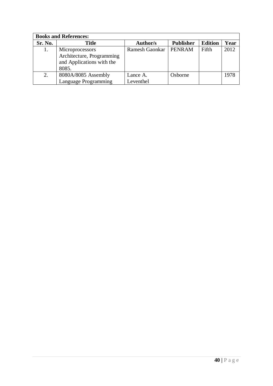| <b>Books and References:</b> |                           |                       |                  |                |      |
|------------------------------|---------------------------|-----------------------|------------------|----------------|------|
| Sr. No.                      | <b>Title</b>              | <b>Author/s</b>       | <b>Publisher</b> | <b>Edition</b> | Year |
|                              | Microprocessors           | <b>Ramesh Gaonkar</b> | <b>PENRAM</b>    | Fifth          | 2012 |
|                              | Architecture, Programming |                       |                  |                |      |
|                              | and Applications with the |                       |                  |                |      |
|                              | 8085.                     |                       |                  |                |      |
| 2.                           | 8080A/8085 Assembly       | Lance A.              | Osborne          |                | 1978 |
|                              | Language Programming      | Leventhel             |                  |                |      |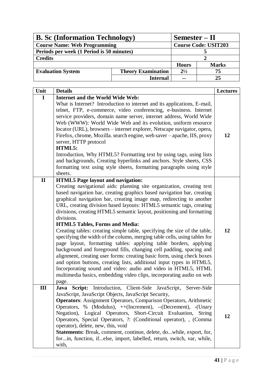| <b>B.</b> Sc (Information Technology)     |                           | Semester – II               |              |  |
|-------------------------------------------|---------------------------|-----------------------------|--------------|--|
| <b>Course Name: Web Programming</b>       |                           | <b>Course Code: USIT203</b> |              |  |
| Periods per week (1 Period is 50 minutes) |                           |                             |              |  |
| <b>Credits</b>                            |                           |                             |              |  |
|                                           |                           | <b>Hours</b>                | <b>Marks</b> |  |
| <b>Evaluation System</b>                  | <b>Theory Examination</b> | $2^{1/2}$                   | 75           |  |
|                                           | <b>Internal</b>           | $\sim$ $\sim$               | 25           |  |

| Unit         | <b>Details</b>                                                                                                                                                                                                                                                                                                                                                                                                                                                                                                                                                                                                                                                                                                                                                                                                                                                                                                                                                                                                                          | <b>Lectures</b> |
|--------------|-----------------------------------------------------------------------------------------------------------------------------------------------------------------------------------------------------------------------------------------------------------------------------------------------------------------------------------------------------------------------------------------------------------------------------------------------------------------------------------------------------------------------------------------------------------------------------------------------------------------------------------------------------------------------------------------------------------------------------------------------------------------------------------------------------------------------------------------------------------------------------------------------------------------------------------------------------------------------------------------------------------------------------------------|-----------------|
| $\mathbf I$  | <b>Internet and the World Wide Web:</b>                                                                                                                                                                                                                                                                                                                                                                                                                                                                                                                                                                                                                                                                                                                                                                                                                                                                                                                                                                                                 |                 |
|              | What is Internet? Introduction to internet and its applications, E-mail,<br>telnet, FTP, e-commerce, video conferencing, e-business. Internet<br>service providers, domain name server, internet address, World Wide<br>Web (WWW): World Wide Web and its evolution, uniform resource<br>locator (URL), browsers – internet explorer, Netscape navigator, opera,<br>Firefox, chrome, Mozilla. search engine, web saver - apache, IIS, proxy<br>server, HTTP protocol<br>HTML5:<br>Introduction, Why HTML5? Formatting text by using tags, using lists<br>and backgrounds, Creating hyperlinks and anchors. Style sheets, CSS<br>formatting text using style sheets, formatting paragraphs using style<br>sheets.                                                                                                                                                                                                                                                                                                                        | 12              |
| $\mathbf{I}$ | <b>HTML5</b> Page layout and navigation:                                                                                                                                                                                                                                                                                                                                                                                                                                                                                                                                                                                                                                                                                                                                                                                                                                                                                                                                                                                                |                 |
|              | Creating navigational aids: planning site organization, creating text<br>based navigation bar, creating graphics based navigation bar, creating<br>graphical navigation bar, creating image map, redirecting to another<br>URL, creating division based layouts: HTML5 semantic tags, creating<br>divisions, creating HTML5 semantic layout, positioning and formatting<br>divisions.<br><b>HTML5 Tables, Forms and Media:</b><br>Creating tables: creating simple table, specifying the size of the table,<br>specifying the width of the column, merging table cells, using tables for<br>page layout, formatting tables: applying table borders, applying<br>background and foreground fills, changing cell padding, spacing and<br>alignment, creating user forms: creating basic form, using check boxes<br>and option buttons, creating lists, additional input types in HTML5,<br>Incorporating sound and video: audio and video in HTML5, HTML<br>multimedia basics, embedding video clips, incorporating audio on web<br>page. | 12              |
| Ш            | Java Script: Introduction, Client-Side JavaScript,<br>Server-Side<br>JavaScript, JavaScript Objects, JavaScript Security,<br><b>Operators:</b> Assignment Operators, Comparison Operators, Arithmetic<br>Operators, % (Modulus), ++(Increment), --(Decrement), -(Unary<br>Negation), Logical Operators, Short-Circuit Evaluation,<br><b>String</b><br>Operators, Special Operators, ?: (Conditional operator), , (Comma<br>operator), delete, new, this, void<br>Statements: Break, comment, continue, delete, dowhile, export, for,<br>forin, function, ifelse, import, labelled, return, switch, var, while,<br>with,                                                                                                                                                                                                                                                                                                                                                                                                                 | 12              |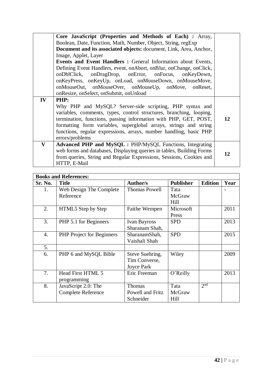|              | Core JavaScript (Properties and Methods of Each) : Array,                                                                                                                                                                                                                                                                                                         |    |  |  |
|--------------|-------------------------------------------------------------------------------------------------------------------------------------------------------------------------------------------------------------------------------------------------------------------------------------------------------------------------------------------------------------------|----|--|--|
|              | Boolean, Date, Function, Math, Number, Object, String, regExp                                                                                                                                                                                                                                                                                                     |    |  |  |
|              | <b>Document and its associated objects:</b> document, Link, Area, Anchor,                                                                                                                                                                                                                                                                                         |    |  |  |
|              | Image, Applet, Layer                                                                                                                                                                                                                                                                                                                                              |    |  |  |
|              | Events and Event Handlers : General Information about Events,                                                                                                                                                                                                                                                                                                     |    |  |  |
|              | Defining Event Handlers, event, onAbort, onBlur, onChange, onClick,<br>onDblClick, onDragDrop, onError, onFocus, onKeyDown,                                                                                                                                                                                                                                       |    |  |  |
|              | onKeyPress, onKeyUp, onLoad, onMouseDown, onMouseMove,                                                                                                                                                                                                                                                                                                            |    |  |  |
|              | onMouseOut, onMouseOver, onMouseUp, onMove, onReset,                                                                                                                                                                                                                                                                                                              |    |  |  |
|              | onResize, onSelect, onSubmit, onUnload                                                                                                                                                                                                                                                                                                                            |    |  |  |
| IV           | <b>PHP:</b>                                                                                                                                                                                                                                                                                                                                                       |    |  |  |
|              | Why PHP and MySQL? Server-side scripting, PHP syntax and<br>variables, comments, types, control structures, branching, looping,<br>termination, functions, passing information with PHP, GET, POST,<br>formatting form variables, superglobal arrays, strings and string<br>functions, regular expressions, arrays, number handling, basic PHP<br>errors/problems | 12 |  |  |
| $\mathbf{V}$ | <b>Advanced PHP and MySQL : PHP/MySQL Functions, Integrating</b>                                                                                                                                                                                                                                                                                                  |    |  |  |
|              | web forms and databases, Displaying queries in tables, Building Forms                                                                                                                                                                                                                                                                                             | 12 |  |  |
|              | from queries, String and Regular Expressions, Sessions, Cookies and                                                                                                                                                                                                                                                                                               |    |  |  |
|              | HTTP, E-Mail                                                                                                                                                                                                                                                                                                                                                      |    |  |  |

| <b>Books and References:</b> |                                  |                      |                  |                 |      |
|------------------------------|----------------------------------|----------------------|------------------|-----------------|------|
| Sr. No.                      | <b>Title</b>                     | <b>Author/s</b>      | <b>Publisher</b> | <b>Edition</b>  | Year |
| 1.                           | Web Design The Complete          | <b>Thomas Powell</b> | Tata             |                 |      |
|                              | Reference                        |                      | McGraw           |                 |      |
|                              |                                  |                      | Hill             |                 |      |
| 2.                           | HTML5 Step by Step               | Faithe Wempen        | Microsoft        |                 | 2011 |
|                              |                                  |                      | Press            |                 |      |
| 3.                           | PHP 5.1 for Beginners            | <b>Ivan Bayross</b>  | <b>SPD</b>       |                 | 2013 |
|                              |                                  | Sharanam Shah,       |                  |                 |      |
| $\overline{4}$ .             | <b>PHP</b> Project for Beginners | SharanamShah,        | <b>SPD</b>       |                 | 2015 |
|                              |                                  | Vaishali Shah        |                  |                 |      |
| 5.                           |                                  |                      |                  |                 |      |
| 6.                           | PHP 6 and MySQL Bible            | Steve Suehring,      | Wiley            |                 | 2009 |
|                              |                                  | Tim Converse,        |                  |                 |      |
|                              |                                  | Joyce Park           |                  |                 |      |
| 7.                           | Head First HTML 5                | Eric Freeman         | O'Reilly         |                 | 2013 |
|                              | programming                      |                      |                  |                 |      |
| 8.                           | JavaScript 2.0: The              | Thomas               | Tata             | 2 <sup>nd</sup> |      |
|                              | <b>Complete Reference</b>        | Powell and Fritz     | McGraw           |                 |      |
|                              |                                  | Schneider            | Hill             |                 |      |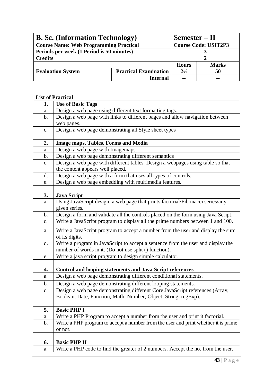| <b>B. Sc.</b> (Information Technology)                   |                 | $Semester - II$             |              |  |
|----------------------------------------------------------|-----------------|-----------------------------|--------------|--|
| <b>Course Name: Web Programming Practical</b>            |                 | <b>Course Code: USIT2P3</b> |              |  |
| Periods per week (1 Period is 50 minutes)                |                 |                             |              |  |
| <b>Credits</b>                                           |                 |                             |              |  |
|                                                          |                 | <b>Hours</b>                | <b>Marks</b> |  |
| <b>Evaluation System</b><br><b>Practical Examination</b> |                 | $2^{1/2}$                   | 50           |  |
|                                                          | <b>Internal</b> | $\sim$ $\sim$               | --           |  |

j.

|                | <b>List of Practical</b>                                                           |
|----------------|------------------------------------------------------------------------------------|
| 1.             | <b>Use of Basic Tags</b>                                                           |
| a.             | Design a web page using different text formatting tags.                            |
| $\mathbf b$ .  | Design a web page with links to different pages and allow navigation between       |
|                | web pages.                                                                         |
| $C_{\bullet}$  | Design a web page demonstrating all Style sheet types                              |
|                |                                                                                    |
| 2.             | <b>Image maps, Tables, Forms and Media</b>                                         |
| a.             | Design a web page with Imagemaps.                                                  |
| b.             | Design a web page demonstrating different semantics                                |
| $\mathbf{c}$ . | Design a web page with different tables. Design a webpages using table so that     |
|                | the content appears well placed.                                                   |
| d.             | Design a web page with a form that uses all types of controls.                     |
| e.             | Design a web page embedding with multimedia features.                              |
|                |                                                                                    |
| 3.             | <b>Java Script</b>                                                                 |
| a.             | Using JavaScript design, a web page that prints factorial/Fibonacci series/any     |
|                | given series.                                                                      |
| $\mathbf b$ .  | Design a form and validate all the controls placed on the form using Java Script.  |
| $C_{\bullet}$  | Write a JavaScript program to display all the prime numbers between 1 and 100.     |
| a.             | Write a JavaScript program to accept a number from the user and display the sum    |
|                | of its digits.                                                                     |
| d.             | Write a program in JavaScript to accept a sentence from the user and display the   |
|                | number of words in it. (Do not use split () function).                             |
| e.             | Write a java script program to design simple calculator.                           |
|                |                                                                                    |
| 4.             | <b>Control and looping statements and Java Script references</b>                   |
| a.             | Design a web page demonstrating different conditional statements.                  |
| b.             | Design a web page demonstrating different looping statements.                      |
| c.             | Design a web page demonstrating different Core JavaScript references (Array,       |
|                | Boolean, Date, Function, Math, Number, Object, String, regExp).                    |
|                |                                                                                    |
| 5.             | <b>Basic PHP I</b>                                                                 |
| a.             | Write a PHP Program to accept a number from the user and print it factorial.       |
| b.             | Write a PHP program to accept a number from the user and print whether it is prime |
|                | or not.                                                                            |
|                |                                                                                    |
| 6.             | <b>Basic PHP II</b>                                                                |
| a.             | Write a PHP code to find the greater of 2 numbers. Accept the no. from the user.   |

h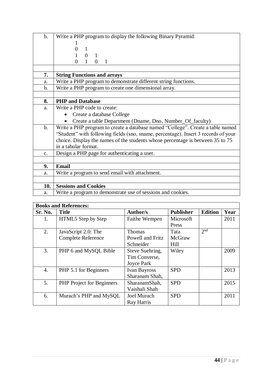| $\mathbf b$ .  | Write a PHP program to display the following Binary Pyramid:                       |  |  |
|----------------|------------------------------------------------------------------------------------|--|--|
|                |                                                                                    |  |  |
|                | 0<br>$\mathbf{1}$                                                                  |  |  |
|                | $0 \quad 1$                                                                        |  |  |
|                | $\mathbf{1}$<br>$\Omega$<br>$\overline{0}$<br>$\mathbf{1}$                         |  |  |
|                |                                                                                    |  |  |
| 7.             | <b>String Functions and arrays</b>                                                 |  |  |
| a.             | Write a PHP program to demonstrate different string functions.                     |  |  |
| $\mathbf{b}$ . | Write a PHP program to create one dimensional array.                               |  |  |
|                |                                                                                    |  |  |
| 8.             | <b>PHP</b> and Database                                                            |  |  |
| a.             | Write a PHP code to create:                                                        |  |  |
|                | Create a database College<br>$\bullet$                                             |  |  |
|                | Create a table Department (Dname, Dno, Number_Of_faculty)<br>$\bullet$             |  |  |
| $\mathbf{b}$ . | Write a PHP program to create a database named "College". Create a table named     |  |  |
|                | "Student" with following fields (sno, sname, percentage). Insert 3 records of your |  |  |
|                | choice. Display the names of the students whose percentage is between 35 to 75     |  |  |
|                | in a tabular format.                                                               |  |  |
| c.             | Design a PHP page for authenticating a user.                                       |  |  |
|                |                                                                                    |  |  |
| 9.             | <b>Email</b>                                                                       |  |  |
| a.             | Write a program to send email with attachment.                                     |  |  |
|                |                                                                                    |  |  |
| 10.            | <b>Sessions and Cookies</b>                                                        |  |  |
| a.             | Write a program to demonstrate use of sessions and cookies.                        |  |  |

| <b>Books and References:</b> |                                  |                     |                  |                 |      |
|------------------------------|----------------------------------|---------------------|------------------|-----------------|------|
| Sr. No.                      | <b>Title</b>                     | <b>Author/s</b>     | <b>Publisher</b> | <b>Edition</b>  | Year |
| 1.                           | HTML5 Step by Step               | Faithe Wempen       | Microsoft        |                 | 2011 |
|                              |                                  |                     | Press            |                 |      |
| 2.                           | JavaScript 2.0: The              | Thomas              | Tata             | 2 <sup>nd</sup> |      |
|                              | <b>Complete Reference</b>        | Powell and Fritz    | McGraw           |                 |      |
|                              |                                  | Schneider           | Hill             |                 |      |
| 3.                           | PHP 6 and MySQL Bible            | Steve Suehring,     | Wiley            |                 | 2009 |
|                              |                                  | Tim Converse,       |                  |                 |      |
|                              |                                  | Joyce Park          |                  |                 |      |
| 4.                           | PHP 5.1 for Beginners            | <b>Ivan Bayross</b> | <b>SPD</b>       |                 | 2013 |
|                              |                                  | Sharanam Shah,      |                  |                 |      |
| 5.                           | <b>PHP</b> Project for Beginners | SharanamShah,       | <b>SPD</b>       |                 | 2015 |
|                              |                                  | Vaishali Shah       |                  |                 |      |
| 6.                           | Murach's PHP and MySQL           | <b>Joel Murach</b>  | <b>SPD</b>       |                 | 2011 |
|                              |                                  | Ray Harris          |                  |                 |      |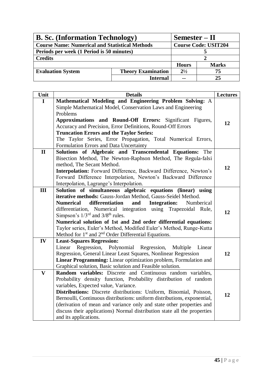| <b>B. Sc.</b> (Information Technology)                |                           | $Semester - II$             |       |
|-------------------------------------------------------|---------------------------|-----------------------------|-------|
| <b>Course Name: Numerical and Statistical Methods</b> |                           | <b>Course Code: USIT204</b> |       |
| Periods per week (1 Period is 50 minutes)             |                           |                             |       |
| <b>Credits</b>                                        |                           |                             |       |
|                                                       |                           | <b>Hours</b>                | Marks |
| <b>Evaluation System</b>                              | <b>Theory Examination</b> | $2^{1/2}$                   | 75    |
|                                                       | Internal                  | $\sim$ $\sim$               | 25    |

| Unit                    | <b>Details</b>                                                                                           | <b>Lectures</b> |
|-------------------------|----------------------------------------------------------------------------------------------------------|-----------------|
| $\mathbf I$             | Mathematical Modeling and Engineering Problem Solving: A                                                 |                 |
|                         | Simple Mathematical Model, Conservation Laws and Engineering                                             |                 |
|                         | Problems                                                                                                 |                 |
|                         | Approximations and Round-Off Errors:<br>Significant Figures,                                             | 12              |
|                         | Accuracy and Precision, Error Definitions, Round-Off Errors                                              |                 |
|                         | <b>Truncation Errors and the Taylor Series:</b>                                                          |                 |
|                         | The Taylor Series, Error Propagation, Total Numerical Errors,                                            |                 |
|                         | Formulation Errors and Data Uncertainty                                                                  |                 |
| $\mathbf{I}$            | Solutions of Algebraic and Transcendental Equations: The                                                 |                 |
|                         | Bisection Method, The Newton-Raphson Method, The Regula-falsi<br>method, The Secant Method.              |                 |
|                         | Interpolation: Forward Difference, Backward Difference, Newton's                                         | 12              |
|                         | Forward Difference Interpolation, Newton's Backward Difference                                           |                 |
|                         | Interpolation, Lagrange's Interpolation.                                                                 |                 |
| III                     | Solution of simultaneous algebraic equations (linear) using                                              |                 |
|                         | iterative methods: Gauss-Jordan Method, Gauss-Seidel Method.                                             |                 |
|                         | <b>Numerical</b><br>differentiation<br><b>Integration:</b><br>and<br>Numberical                          |                 |
|                         | differentiation, Numerical integration using Trapezoidal Rule,                                           |                 |
|                         | Simpson's $1/3^{rd}$ and $3/8^{th}$ rules.                                                               | 12              |
|                         | Numerical solution of 1st and 2nd order differential equations:                                          |                 |
|                         | Taylor series, Euler's Method, Modified Euler's Method, Runge-Kutta                                      |                 |
|                         | Method for 1 <sup>st</sup> and 2 <sup>nd</sup> Order Differential Equations.                             |                 |
| IV                      | <b>Least-Squares Regression:</b>                                                                         |                 |
|                         | Linear Regression, Polynomial Regression,<br>Multiple<br>Linear                                          |                 |
|                         | Regression, General Linear Least Squares, Nonlinear Regression                                           | 12              |
|                         | Linear Programming: Linear optimization problem, Formulation and                                         |                 |
|                         | Graphical solution, Basic solution and Feasible solution.                                                |                 |
| $\overline{\mathbf{V}}$ | Random variables: Discrete and Continuous random variables,                                              |                 |
|                         | Probability density function, Probability distribution of random<br>variables, Expected value, Variance. |                 |
|                         | Distributions: Discrete distributions: Uniform, Binomial, Poisson,                                       |                 |
|                         | Bernoulli, Continuous distributions: uniform distributions, exponential,                                 | 12              |
|                         | (derivation of mean and variance only and state other properties and                                     |                 |
|                         | discuss their applications) Normal distribution state all the properties                                 |                 |
|                         | and its applications.                                                                                    |                 |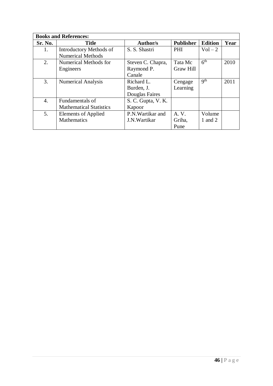|         | <b>Books and References:</b>   |                    |                  |                 |      |
|---------|--------------------------------|--------------------|------------------|-----------------|------|
| Sr. No. | <b>Title</b>                   | <b>Author/s</b>    | <b>Publisher</b> | <b>Edition</b>  | Year |
| 1.      | <b>Introductory Methods of</b> | S. S. Shastri      | PHI              | $Vol-2$         |      |
|         | <b>Numerical Methods</b>       |                    |                  |                 |      |
| 2.      | Numerical Methods for          | Steven C. Chapra,  | Tata Mc          | 6 <sup>th</sup> | 2010 |
|         | Engineers                      | Raymond P.         | Graw Hill        |                 |      |
|         |                                | Canale             |                  |                 |      |
| 3.      | <b>Numerical Analysis</b>      | Richard L.         | Cengage          | 9 <sup>th</sup> | 2011 |
|         |                                | Burden, J.         | Learning         |                 |      |
|         |                                | Douglas Faires     |                  |                 |      |
| 4.      | Fundamentals of                | S. C. Gupta, V. K. |                  |                 |      |
|         | <b>Mathematical Statistics</b> | Kapoor             |                  |                 |      |
| 5.      | <b>Elements of Applied</b>     | P.N. Wartikar and  | A. V.            | Volume          |      |
|         | <b>Mathematics</b>             | J.N. Wartikar      | Griha,           | and 2           |      |
|         |                                |                    | Pune             |                 |      |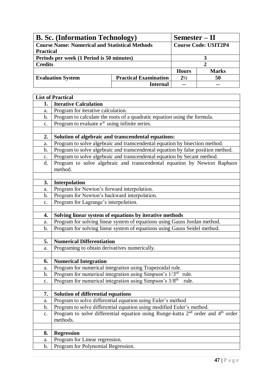| <b>B. Sc.</b> (Information Technology)                |                              |              | Semester – II               |  |
|-------------------------------------------------------|------------------------------|--------------|-----------------------------|--|
| <b>Course Name: Numerical and Statistical Methods</b> |                              |              | <b>Course Code: USIT2P4</b> |  |
| <b>Practical</b>                                      |                              |              |                             |  |
| Periods per week (1 Period is 50 minutes)             |                              |              |                             |  |
| <b>Credits</b>                                        |                              |              |                             |  |
|                                                       |                              | <b>Hours</b> | <b>Marks</b>                |  |
| <b>Evaluation System</b>                              | <b>Practical Examination</b> | $2^{1/2}$    | 50                          |  |
|                                                       | <b>Internal</b>              | --           |                             |  |

|                | <b>List of Practical</b>                                                             |
|----------------|--------------------------------------------------------------------------------------|
| 1.             | <b>Iterative Calculation</b>                                                         |
| a.             | Program for iterative calculation.                                                   |
| b.             | Program to calculate the roots of a quadratic equation using the formula.            |
| c.             | Program to evaluate $e^x$ using infinite series.                                     |
|                |                                                                                      |
| 2.             | Solution of algebraic and transcendental equations:                                  |
| a.             | Program to solve algebraic and transcendental equation by bisection method.          |
| b.             | Program to solve algebraic and transcendental equation by false position method.     |
| $\mathbf{c}$ . | Program to solve algebraic and transcendental equation by Secant method.             |
| d.             | Program to solve algebraic and transcendental equation by Newton Raphson             |
|                | method.                                                                              |
|                |                                                                                      |
| 3.             | <b>Interpolation</b>                                                                 |
| a.             | Program for Newton's forward interpolation.                                          |
| b.             | Program for Newton's backward interpolation.                                         |
| c.             | Program for Lagrange's interpolation.                                                |
|                |                                                                                      |
| 4.             | Solving linear system of equations by iterative methods                              |
| a.             | Program for solving linear system of equations using Gauss Jordan method.            |
| b.             | Program for solving linear system of equations using Gauss Seidel method.            |
|                |                                                                                      |
| 5.             | <b>Numerical Differentiation</b>                                                     |
| a.             | Programing to obtain derivatives numerically.                                        |
|                |                                                                                      |
| 6.             | <b>Numerical Integration</b>                                                         |
| a.             | Program for numerical integration using Trapezoidal rule.                            |
| $\mathbf b$ .  | Program for numerical integration using Simpson's 1/3rd<br>rule.                     |
| $\mathbf{c}.$  | Program for numerical integration using Simpson's 3/8 <sup>th</sup><br>rule.         |
|                |                                                                                      |
| 7.             | Solution of differential equations                                                   |
| a.             | Program to solve differential equation using Euler's method                          |
| $\mathbf b$ .  | Program to solve differential equation using modified Euler's method.                |
| c.             | Program to solve differential equation using Runge-kutta $2nd$ order and $4th$ order |
|                | methods.                                                                             |
|                |                                                                                      |
| 8.             | <b>Regression</b>                                                                    |
| a.             | Program for Linear regression.                                                       |
| b.             | Program for Polynomial Regression.                                                   |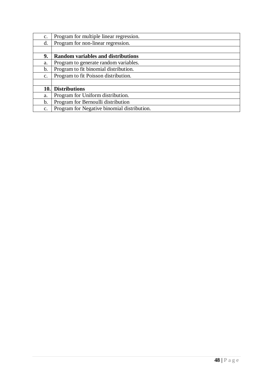| $\mathbf{C}$ . | Program for multiple linear regression.     |
|----------------|---------------------------------------------|
| d.             | Program for non-linear regression.          |
|                |                                             |
| 9.             | <b>Random variables and distributions</b>   |
| a.             | Program to generate random variables.       |
| b.             | Program to fit binomial distribution.       |
| $\mathbf{C}$ . | Program to fit Poisson distribution.        |
|                |                                             |
| 10.            | <b>Distributions</b>                        |
| a.             | Program for Uniform distribution.           |
| b.             | Program for Bernoulli distribution          |
| $\mathbf{c}$ . | Program for Negative binomial distribution. |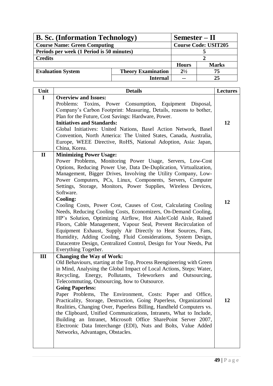| <b>B. Sc.</b> (Information Technology)    | Semester – II             |                             |              |
|-------------------------------------------|---------------------------|-----------------------------|--------------|
| <b>Course Name: Green Computing</b>       |                           | <b>Course Code: USIT205</b> |              |
| Periods per week (1 Period is 50 minutes) |                           |                             |              |
| <b>Credits</b>                            |                           |                             |              |
|                                           |                           | <b>Hours</b>                | <b>Marks</b> |
| <b>Evaluation System</b>                  | <b>Theory Examination</b> | $2^{1/2}$                   | 75           |
|                                           | <b>Internal</b>           | $-$                         | 25           |

| Unit         | <b>Details</b>                                                                                                                   | <b>Lectures</b> |
|--------------|----------------------------------------------------------------------------------------------------------------------------------|-----------------|
| $\mathbf I$  | <b>Overview and Issues:</b>                                                                                                      |                 |
|              | Problems: Toxins, Power Consumption, Equipment Disposal,<br>Company's Carbon Footprint: Measuring, Details, reasons to bother,   |                 |
|              | Plan for the Future, Cost Savings: Hardware, Power.                                                                              |                 |
|              | <b>Initiatives and Standards:</b>                                                                                                | 12              |
|              | Global Initiatives: United Nations, Basel Action Network, Basel                                                                  |                 |
|              | Convention, North America: The United States, Canada, Australia,                                                                 |                 |
|              | Europe, WEEE Directive, RoHS, National Adoption, Asia: Japan,                                                                    |                 |
|              | China, Korea.                                                                                                                    |                 |
| $\mathbf{I}$ | <b>Minimizing Power Usage:</b>                                                                                                   |                 |
|              | Power Problems, Monitoring Power Usage, Servers, Low-Cost                                                                        |                 |
|              | Options, Reducing Power Use, Data De-Duplication, Virtualization,                                                                |                 |
|              | Management, Bigger Drives, Involving the Utility Company, Low-                                                                   |                 |
|              | Power Computers, PCs, Linux, Components, Servers, Computer                                                                       |                 |
|              | Settings, Storage, Monitors, Power Supplies, Wireless Devices,                                                                   |                 |
|              | Software.<br><b>Cooling:</b>                                                                                                     |                 |
|              | Cooling Costs, Power Cost, Causes of Cost, Calculating Cooling                                                                   | 12              |
|              | Needs, Reducing Cooling Costs, Economizers, On-Demand Cooling,                                                                   |                 |
|              | HP's Solution, Optimizing Airflow, Hot Aisle/Cold Aisle, Raised                                                                  |                 |
|              | Floors, Cable Management, Vapour Seal, Prevent Recirculation of                                                                  |                 |
|              | Equipment Exhaust, Supply Air Directly to Heat Sources, Fans,                                                                    |                 |
|              | Humidity, Adding Cooling, Fluid Considerations, System Design,                                                                   |                 |
|              | Datacentre Design, Centralized Control, Design for Your Needs, Put                                                               |                 |
|              | Everything Together.                                                                                                             |                 |
| Ш            | <b>Changing the Way of Work:</b>                                                                                                 |                 |
|              | Old Behaviours, starting at the Top, Process Reengineering with Green                                                            |                 |
|              | in Mind, Analysing the Global Impact of Local Actions, Steps: Water,                                                             |                 |
|              | Recycling, Energy, Pollutants, Teleworkers and Outsourcing,                                                                      |                 |
|              | Telecommuting, Outsourcing, how to Outsource.                                                                                    |                 |
|              | <b>Going Paperless:</b>                                                                                                          |                 |
|              | Paper Problems, The Environment, Costs: Paper and Office,<br>Practicality, Storage, Destruction, Going Paperless, Organizational | 12              |
|              | Realities, Changing Over, Paperless Billing, Handheld Computers vs.                                                              |                 |
|              | the Clipboard, Unified Communications, Intranets, What to Include,                                                               |                 |
|              | Building an Intranet, Microsoft Office SharePoint Server 2007,                                                                   |                 |
|              | Electronic Data Interchange (EDI), Nuts and Bolts, Value Added                                                                   |                 |
|              | Networks, Advantages, Obstacles.                                                                                                 |                 |
|              |                                                                                                                                  |                 |
|              |                                                                                                                                  |                 |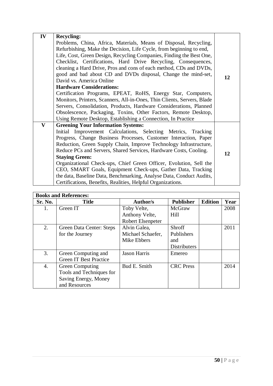| IV           | <b>Recycling:</b>                                                       |    |
|--------------|-------------------------------------------------------------------------|----|
|              | Problems, China, Africa, Materials, Means of Disposal, Recycling,       |    |
|              | Refurbishing, Make the Decision, Life Cycle, from beginning to end,     |    |
|              | Life, Cost, Green Design, Recycling Companies, Finding the Best One,    |    |
|              | Checklist, Certifications, Hard Drive Recycling, Consequences,          |    |
|              | cleaning a Hard Drive, Pros and cons of each method, CDs and DVDs,      |    |
|              | good and bad about CD and DVDs disposal, Change the mind-set,           | 12 |
|              | David vs. America Online                                                |    |
|              | <b>Hardware Considerations:</b>                                         |    |
|              | Certification Programs, EPEAT, RoHS, Energy Star, Computers,            |    |
|              | Monitors, Printers, Scanners, All-in-Ones, Thin Clients, Servers, Blade |    |
|              | Servers, Consolidation, Products, Hardware Considerations, Planned      |    |
|              | Obsolescence, Packaging, Toxins, Other Factors, Remote Desktop,         |    |
|              | Using Remote Desktop, Establishing a Connection, In Practice            |    |
| $\mathbf{V}$ | <b>Greening Your Information Systems:</b>                               |    |
|              | Initial Improvement Calculations, Selecting Metrics, Tracking           |    |
|              | Progress, Change Business Processes, Customer Interaction, Paper        |    |
|              | Reduction, Green Supply Chain, Improve Technology Infrastructure,       |    |
|              | Reduce PCs and Servers, Shared Services, Hardware Costs, Cooling.       | 12 |
|              | <b>Staying Green:</b>                                                   |    |
|              | Organizational Check-ups, Chief Green Officer, Evolution, Sell the      |    |
|              | CEO, SMART Goals, Equipment Check-ups, Gather Data, Tracking            |    |
|              | the data, Baseline Data, Benchmarking, Analyse Data, Conduct Audits,    |    |
|              | Certifications, Benefits, Realities, Helpful Organizations.             |    |

| <b>Books and References:</b> |                               |                     |                     |                |      |
|------------------------------|-------------------------------|---------------------|---------------------|----------------|------|
| Sr. No.                      | <b>Title</b>                  | Author/s            | <b>Publisher</b>    | <b>Edition</b> | Year |
| 1.                           | Green IT                      | Toby Velte,         | McGraw              |                | 2008 |
|                              |                               | Anthony Velte,      | Hill                |                |      |
|                              |                               | Robert Elsenpeter   |                     |                |      |
| 2.                           | Green Data Center: Steps      | Alvin Galea,        | <b>Shroff</b>       |                | 2011 |
|                              | for the Journey               | Michael Schaefer,   | Publishers          |                |      |
|                              |                               | Mike Ebbers         | and                 |                |      |
|                              |                               |                     | <b>Distributers</b> |                |      |
| 3.                           | Green Computing and           | <b>Jason Harris</b> | Emereo              |                |      |
|                              | <b>Green IT Best Practice</b> |                     |                     |                |      |
| 4.                           | <b>Green Computing</b>        | Bud E. Smith        | <b>CRC</b> Press    |                | 2014 |
|                              | Tools and Techniques for      |                     |                     |                |      |
|                              | Saving Energy, Money          |                     |                     |                |      |
|                              | and Resources                 |                     |                     |                |      |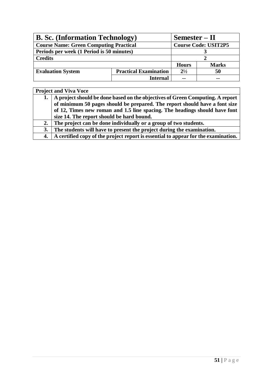| <b>B. Sc.</b> (Information Technology)        |                              | $Semester - II$             |              |  |
|-----------------------------------------------|------------------------------|-----------------------------|--------------|--|
| <b>Course Name: Green Computing Practical</b> |                              | <b>Course Code: USIT2P5</b> |              |  |
| Periods per week (1 Period is 50 minutes)     |                              |                             |              |  |
| <b>Credits</b>                                |                              |                             |              |  |
|                                               |                              | <b>Hours</b>                | <b>Marks</b> |  |
| <b>Evaluation System</b>                      | <b>Practical Examination</b> | $2^{1/2}$                   | 50           |  |
|                                               | <b>Internal</b>              | $\sim$ $\sim$               | --           |  |

|    | <b>Project and Viva Voce</b>                                                       |  |  |  |
|----|------------------------------------------------------------------------------------|--|--|--|
|    | 1.   A project should be done based on the objectives of Green Computing. A report |  |  |  |
|    | of minimum 50 pages should be prepared. The report should have a font size         |  |  |  |
|    | of 12, Times new roman and 1.5 line spacing. The headings should have font         |  |  |  |
|    | size 14. The report should be hard bound.                                          |  |  |  |
| 2. | The project can be done individually or a group of two students.                   |  |  |  |
| 3. | The students will have to present the project during the examination.              |  |  |  |
| 4. | A certified copy of the project report is essential to appear for the examination. |  |  |  |